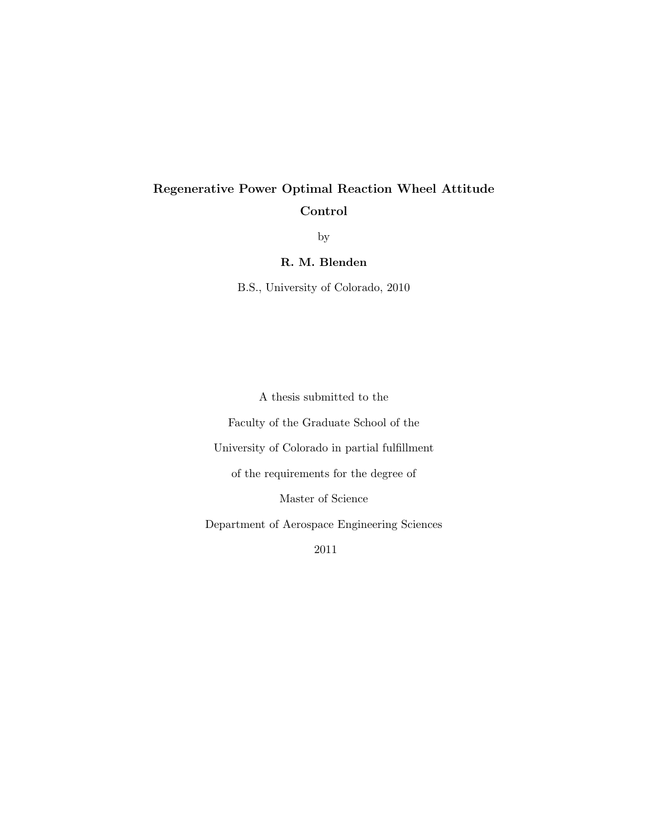# Regenerative Power Optimal Reaction Wheel Attitude Control

by

R. M. Blenden

B.S., University of Colorado, 2010

A thesis submitted to the Faculty of the Graduate School of the University of Colorado in partial fulfillment of the requirements for the degree of Master of Science Department of Aerospace Engineering Sciences 2011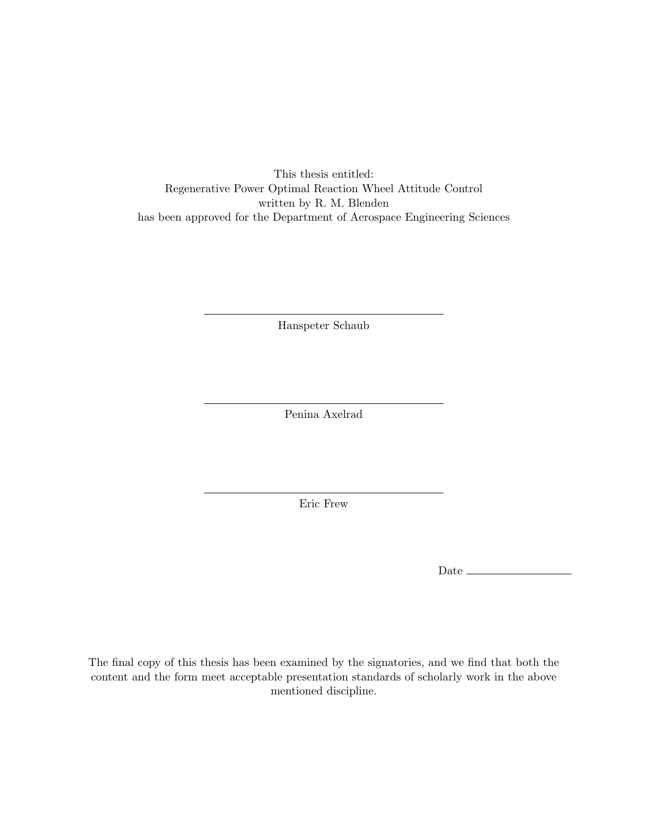This thesis entitled: Regenerative Power Optimal Reaction Wheel Attitude Control written by R. M. Blenden has been approved for the Department of Aerospace Engineering Sciences

Hanspeter Schaub

Penina Axelrad

Eric Frew

Date  $\equiv$ 

The final copy of this thesis has been examined by the signatories, and we find that both the content and the form meet acceptable presentation standards of scholarly work in the above mentioned discipline.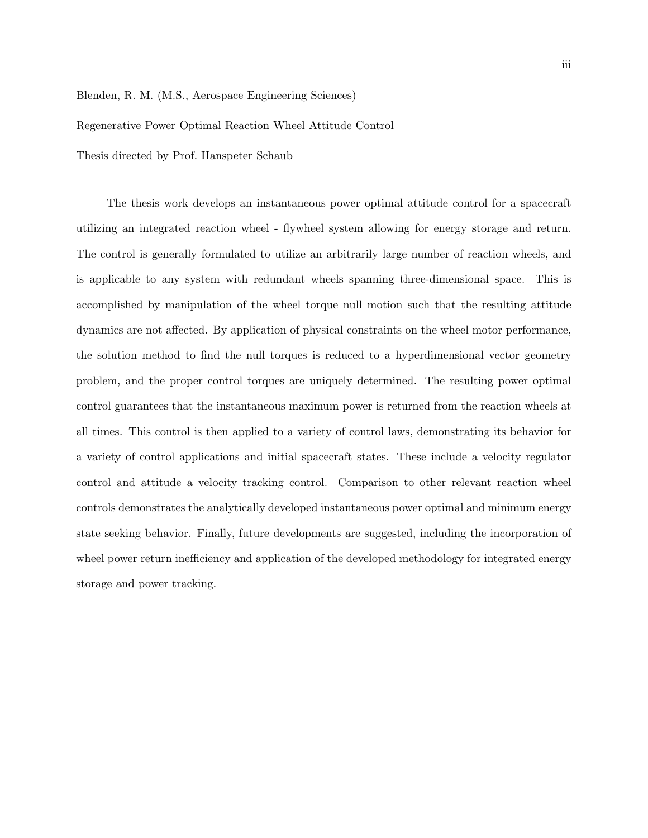Blenden, R. M. (M.S., Aerospace Engineering Sciences)

Regenerative Power Optimal Reaction Wheel Attitude Control

Thesis directed by Prof. Hanspeter Schaub

The thesis work develops an instantaneous power optimal attitude control for a spacecraft utilizing an integrated reaction wheel - flywheel system allowing for energy storage and return. The control is generally formulated to utilize an arbitrarily large number of reaction wheels, and is applicable to any system with redundant wheels spanning three-dimensional space. This is accomplished by manipulation of the wheel torque null motion such that the resulting attitude dynamics are not affected. By application of physical constraints on the wheel motor performance, the solution method to find the null torques is reduced to a hyperdimensional vector geometry problem, and the proper control torques are uniquely determined. The resulting power optimal control guarantees that the instantaneous maximum power is returned from the reaction wheels at all times. This control is then applied to a variety of control laws, demonstrating its behavior for a variety of control applications and initial spacecraft states. These include a velocity regulator control and attitude a velocity tracking control. Comparison to other relevant reaction wheel controls demonstrates the analytically developed instantaneous power optimal and minimum energy state seeking behavior. Finally, future developments are suggested, including the incorporation of wheel power return inefficiency and application of the developed methodology for integrated energy storage and power tracking.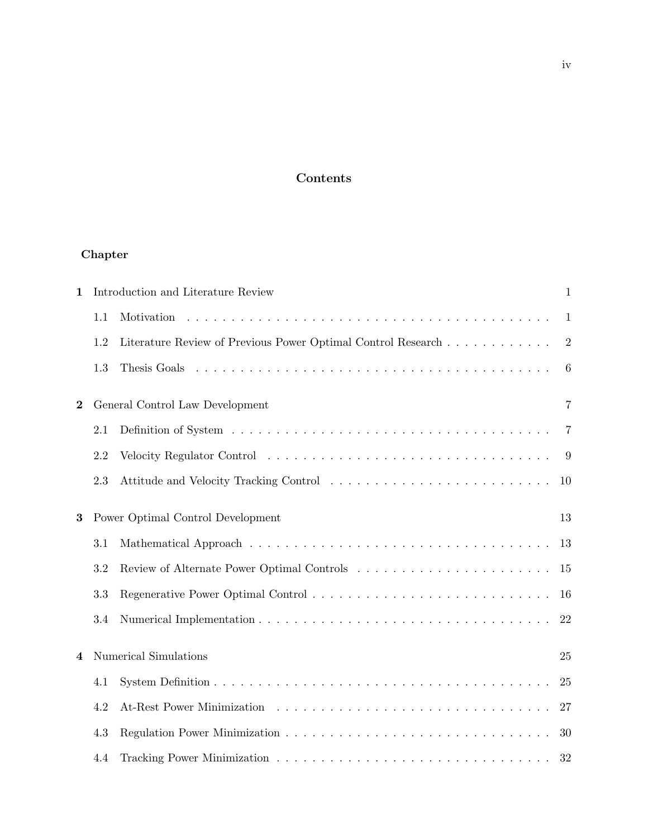## Contents

## Chapter

| $\mathbf{1}$ | Introduction and Literature Review |                                                                                                                                                                                                                                |                 |  |
|--------------|------------------------------------|--------------------------------------------------------------------------------------------------------------------------------------------------------------------------------------------------------------------------------|-----------------|--|
|              | 1.1                                |                                                                                                                                                                                                                                | $\mathbf{1}$    |  |
|              | 1.2                                | Literature Review of Previous Power Optimal Control Research                                                                                                                                                                   | $\overline{2}$  |  |
|              | 1.3                                |                                                                                                                                                                                                                                | $6\phantom{.}6$ |  |
| $\bf{2}$     |                                    | General Control Law Development                                                                                                                                                                                                | 7               |  |
|              | 2.1                                |                                                                                                                                                                                                                                | 7               |  |
|              | 2.2                                | Velocity Regulator Control (Control) (Control) (Control) (Control) (Control) (Control) (Control) (Control) (Control) (Control) (Control) (Control) (Control) (Control) (Control) (Control) (Control) (Control) (Control) (Cont | 9               |  |
|              | 2.3                                |                                                                                                                                                                                                                                | 10              |  |
| 3            |                                    | Power Optimal Control Development                                                                                                                                                                                              | 13              |  |
|              | 3.1                                |                                                                                                                                                                                                                                | 13              |  |
|              | 3.2                                |                                                                                                                                                                                                                                | 15              |  |
|              | 3.3                                |                                                                                                                                                                                                                                | 16              |  |
|              | 3.4                                |                                                                                                                                                                                                                                | 22              |  |
| 4            |                                    | Numerical Simulations                                                                                                                                                                                                          | 25              |  |
|              | 4.1                                |                                                                                                                                                                                                                                | 25              |  |
|              | 4.2                                |                                                                                                                                                                                                                                | 27              |  |
|              | 4.3                                |                                                                                                                                                                                                                                | 30              |  |
|              | 4.4                                |                                                                                                                                                                                                                                | 32              |  |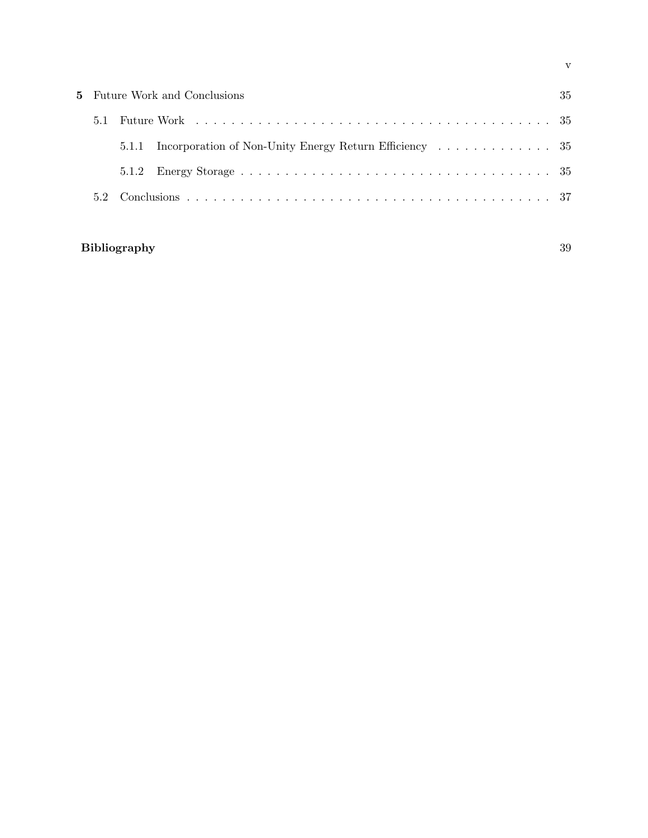| <b>5</b> Future Work and Conclusions |       |  | 35 |
|--------------------------------------|-------|--|----|
| 5.1                                  |       |  |    |
|                                      | 5.1.1 |  |    |
|                                      |       |  |    |
|                                      |       |  |    |

## Bibliography 39

v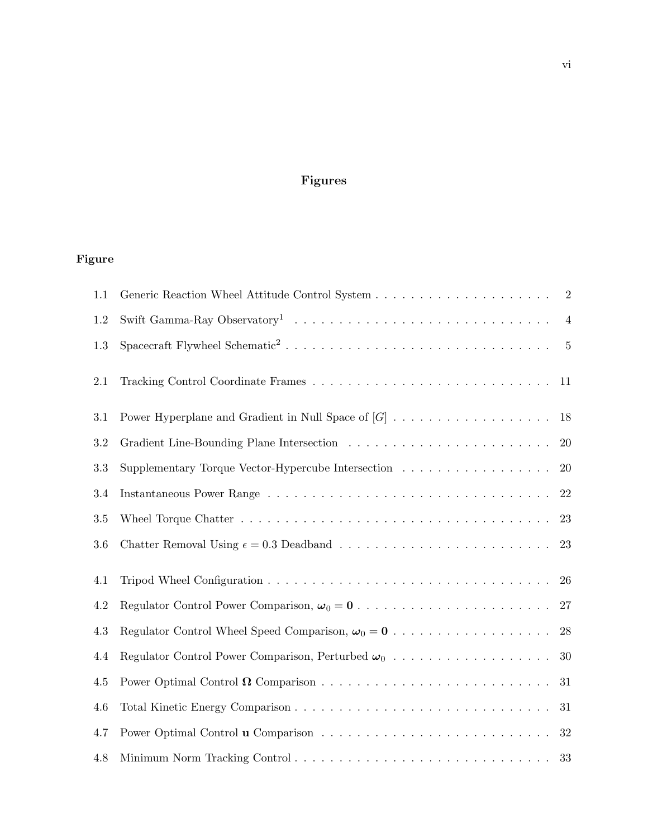# Figures

# Figure

| 1.1       |                                                    | $\boldsymbol{2}$ |
|-----------|----------------------------------------------------|------------------|
| $1.2\,$   |                                                    | $\overline{4}$   |
| 1.3       |                                                    | $\overline{5}$   |
| 2.1       |                                                    | 11               |
| 3.1       |                                                    | 18               |
| $\!3.2\!$ |                                                    | 20               |
| 3.3       | Supplementary Torque Vector-Hypercube Intersection | 20               |
| 3.4       |                                                    | 22               |
| 3.5       |                                                    | 23               |
| $3.6\,$   |                                                    | 23               |
| 4.1       |                                                    | 26               |
| $4.2\,$   |                                                    | 27               |
| 4.3       |                                                    | 28               |
| 4.4       |                                                    | 30               |
| $4.5\,$   |                                                    | 31               |
| 4.6       |                                                    | 31               |
| 4.7       |                                                    | 32               |
| 4.8       |                                                    | 33               |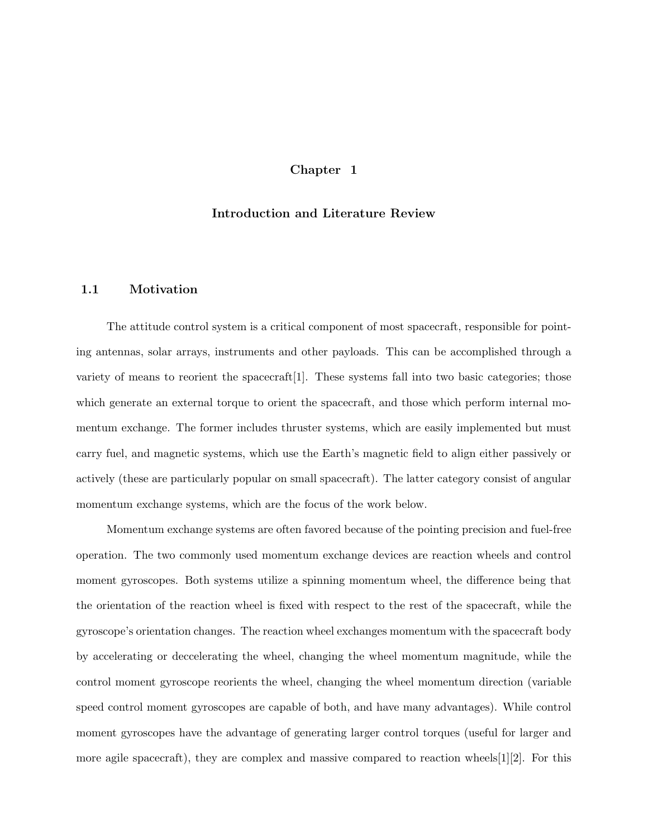## Chapter 1

#### Introduction and Literature Review

#### 1.1 Motivation

The attitude control system is a critical component of most spacecraft, responsible for pointing antennas, solar arrays, instruments and other payloads. This can be accomplished through a variety of means to reorient the spacecraft[1]. These systems fall into two basic categories; those which generate an external torque to orient the spacecraft, and those which perform internal momentum exchange. The former includes thruster systems, which are easily implemented but must carry fuel, and magnetic systems, which use the Earth's magnetic field to align either passively or actively (these are particularly popular on small spacecraft). The latter category consist of angular momentum exchange systems, which are the focus of the work below.

Momentum exchange systems are often favored because of the pointing precision and fuel-free operation. The two commonly used momentum exchange devices are reaction wheels and control moment gyroscopes. Both systems utilize a spinning momentum wheel, the difference being that the orientation of the reaction wheel is fixed with respect to the rest of the spacecraft, while the gyroscope's orientation changes. The reaction wheel exchanges momentum with the spacecraft body by accelerating or deccelerating the wheel, changing the wheel momentum magnitude, while the control moment gyroscope reorients the wheel, changing the wheel momentum direction (variable speed control moment gyroscopes are capable of both, and have many advantages). While control moment gyroscopes have the advantage of generating larger control torques (useful for larger and more agile spacecraft), they are complex and massive compared to reaction wheels $[1][2]$ . For this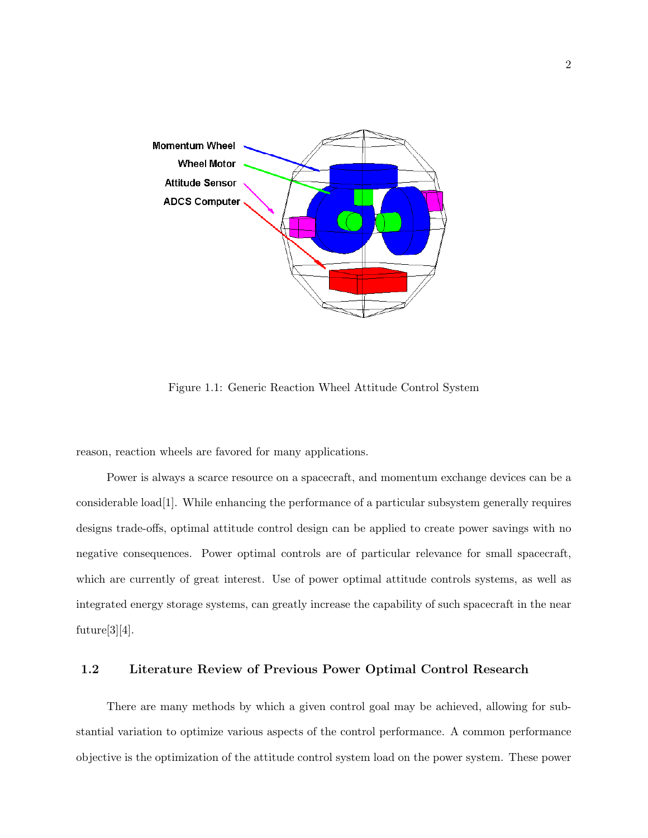

Figure 1.1: Generic Reaction Wheel Attitude Control System

reason, reaction wheels are favored for many applications.

Power is always a scarce resource on a spacecraft, and momentum exchange devices can be a considerable load[1]. While enhancing the performance of a particular subsystem generally requires designs trade-offs, optimal attitude control design can be applied to create power savings with no negative consequences. Power optimal controls are of particular relevance for small spacecraft, which are currently of great interest. Use of power optimal attitude controls systems, as well as integrated energy storage systems, can greatly increase the capability of such spacecraft in the near future[3][4].

## 1.2 Literature Review of Previous Power Optimal Control Research

There are many methods by which a given control goal may be achieved, allowing for substantial variation to optimize various aspects of the control performance. A common performance objective is the optimization of the attitude control system load on the power system. These power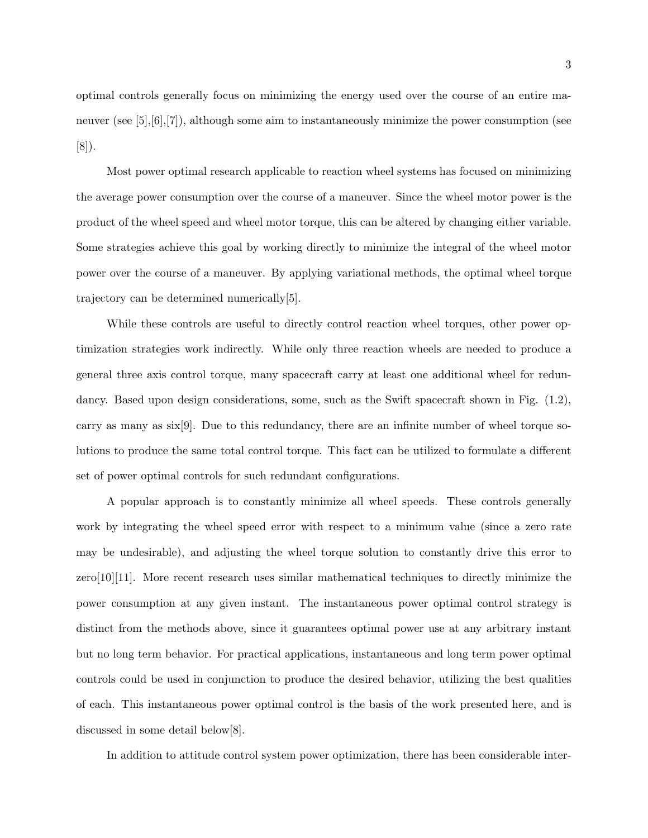optimal controls generally focus on minimizing the energy used over the course of an entire maneuver (see  $[5],[6],[7]$ ), although some aim to instantaneously minimize the power consumption (see [8]).

Most power optimal research applicable to reaction wheel systems has focused on minimizing the average power consumption over the course of a maneuver. Since the wheel motor power is the product of the wheel speed and wheel motor torque, this can be altered by changing either variable. Some strategies achieve this goal by working directly to minimize the integral of the wheel motor power over the course of a maneuver. By applying variational methods, the optimal wheel torque trajectory can be determined numerically[5].

While these controls are useful to directly control reaction wheel torques, other power optimization strategies work indirectly. While only three reaction wheels are needed to produce a general three axis control torque, many spacecraft carry at least one additional wheel for redundancy. Based upon design considerations, some, such as the Swift spacecraft shown in Fig.  $(1.2)$ , carry as many as  $six[9]$ . Due to this redundancy, there are an infinite number of wheel torque solutions to produce the same total control torque. This fact can be utilized to formulate a different set of power optimal controls for such redundant configurations.

A popular approach is to constantly minimize all wheel speeds. These controls generally work by integrating the wheel speed error with respect to a minimum value (since a zero rate may be undesirable), and adjusting the wheel torque solution to constantly drive this error to zero[10][11]. More recent research uses similar mathematical techniques to directly minimize the power consumption at any given instant. The instantaneous power optimal control strategy is distinct from the methods above, since it guarantees optimal power use at any arbitrary instant but no long term behavior. For practical applications, instantaneous and long term power optimal controls could be used in conjunction to produce the desired behavior, utilizing the best qualities of each. This instantaneous power optimal control is the basis of the work presented here, and is discussed in some detail below[8].

In addition to attitude control system power optimization, there has been considerable inter-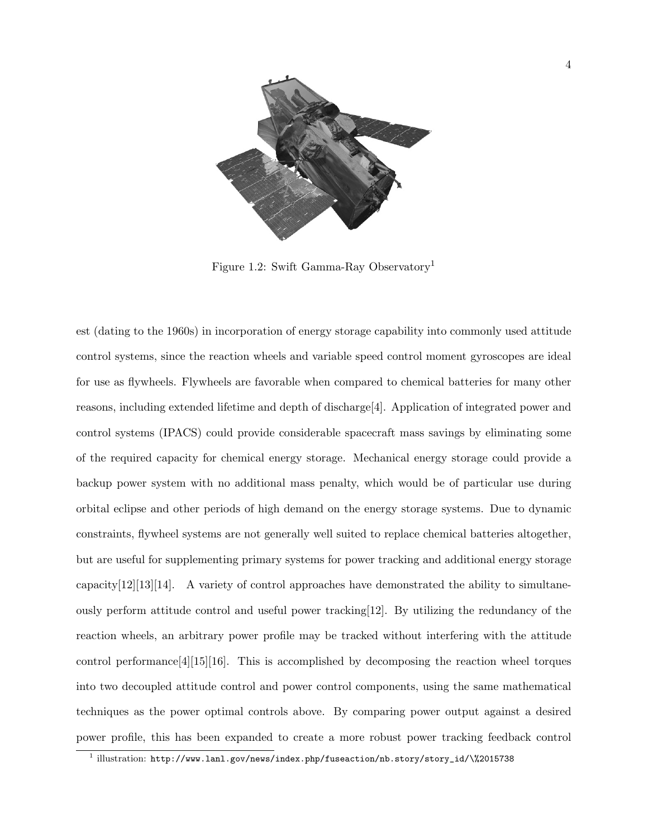

Figure 1.2: Swift Gamma-Ray Observatory<sup>1</sup>

est (dating to the 1960s) in incorporation of energy storage capability into commonly used attitude control systems, since the reaction wheels and variable speed control moment gyroscopes are ideal for use as flywheels. Flywheels are favorable when compared to chemical batteries for many other reasons, including extended lifetime and depth of discharge[4]. Application of integrated power and control systems (IPACS) could provide considerable spacecraft mass savings by eliminating some of the required capacity for chemical energy storage. Mechanical energy storage could provide a backup power system with no additional mass penalty, which would be of particular use during orbital eclipse and other periods of high demand on the energy storage systems. Due to dynamic constraints, flywheel systems are not generally well suited to replace chemical batteries altogether, but are useful for supplementing primary systems for power tracking and additional energy storage capacity[12][13][14]. A variety of control approaches have demonstrated the ability to simultaneously perform attitude control and useful power tracking[12]. By utilizing the redundancy of the reaction wheels, an arbitrary power profile may be tracked without interfering with the attitude control performance  $[4][15][16]$ . This is accomplished by decomposing the reaction wheel torques into two decoupled attitude control and power control components, using the same mathematical techniques as the power optimal controls above. By comparing power output against a desired power profile, this has been expanded to create a more robust power tracking feedback control

 $^1$  illustration: http://www.lanl.gov/news/index.php/fuseaction/nb.story/story\_id/\%2015738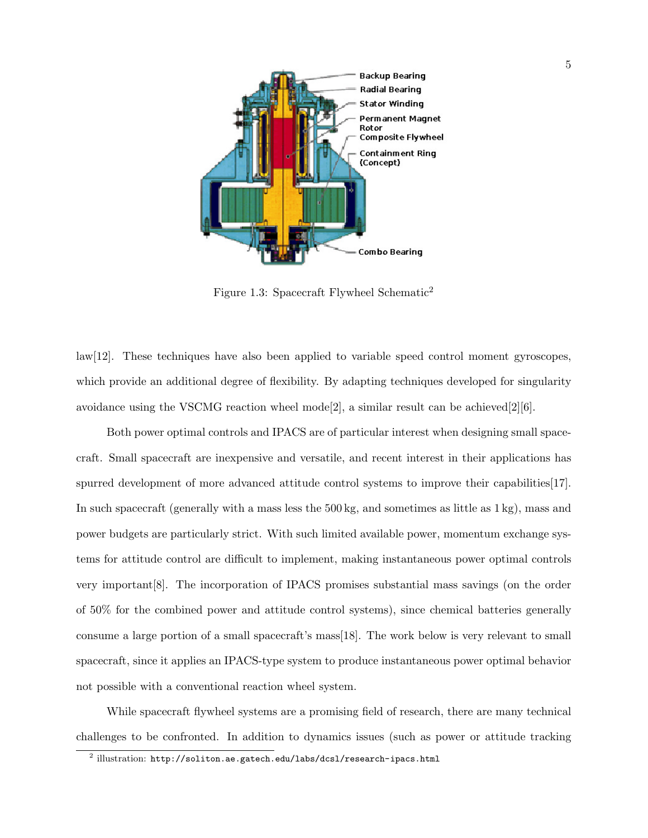

Figure 1.3: Spacecraft Flywheel Schematic<sup>2</sup>

law[12]. These techniques have also been applied to variable speed control moment gyroscopes, which provide an additional degree of flexibility. By adapting techniques developed for singularity avoidance using the VSCMG reaction wheel mode<sup>[2]</sup>, a similar result can be achieved<sup>[2]</sup>[6].

Both power optimal controls and IPACS are of particular interest when designing small spacecraft. Small spacecraft are inexpensive and versatile, and recent interest in their applications has spurred development of more advanced attitude control systems to improve their capabilities[17]. In such spacecraft (generally with a mass less the 500 kg, and sometimes as little as 1 kg), mass and power budgets are particularly strict. With such limited available power, momentum exchange systems for attitude control are difficult to implement, making instantaneous power optimal controls very important[8]. The incorporation of IPACS promises substantial mass savings (on the order of 50% for the combined power and attitude control systems), since chemical batteries generally consume a large portion of a small spacecraft's mass[18]. The work below is very relevant to small spacecraft, since it applies an IPACS-type system to produce instantaneous power optimal behavior not possible with a conventional reaction wheel system.

While spacecraft flywheel systems are a promising field of research, there are many technical challenges to be confronted. In addition to dynamics issues (such as power or attitude tracking

 $^2$  illustration: <code>http://soliton.ae.gatech.edu/labs/dcs1/research-ipacs.html</code>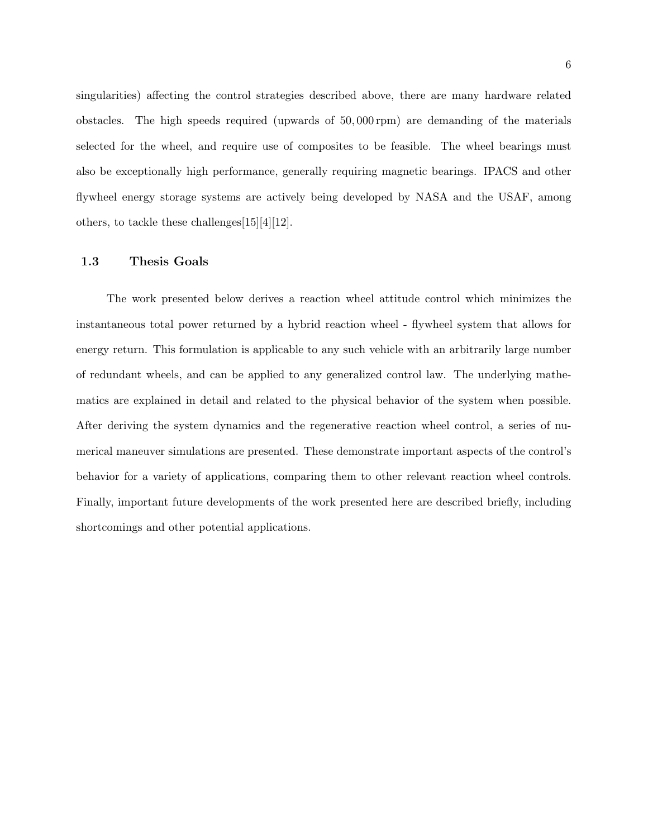singularities) affecting the control strategies described above, there are many hardware related obstacles. The high speeds required (upwards of 50, 000 rpm) are demanding of the materials selected for the wheel, and require use of composites to be feasible. The wheel bearings must also be exceptionally high performance, generally requiring magnetic bearings. IPACS and other flywheel energy storage systems are actively being developed by NASA and the USAF, among others, to tackle these challenges[15][4][12].

## 1.3 Thesis Goals

The work presented below derives a reaction wheel attitude control which minimizes the instantaneous total power returned by a hybrid reaction wheel - flywheel system that allows for energy return. This formulation is applicable to any such vehicle with an arbitrarily large number of redundant wheels, and can be applied to any generalized control law. The underlying mathematics are explained in detail and related to the physical behavior of the system when possible. After deriving the system dynamics and the regenerative reaction wheel control, a series of numerical maneuver simulations are presented. These demonstrate important aspects of the control's behavior for a variety of applications, comparing them to other relevant reaction wheel controls. Finally, important future developments of the work presented here are described briefly, including shortcomings and other potential applications.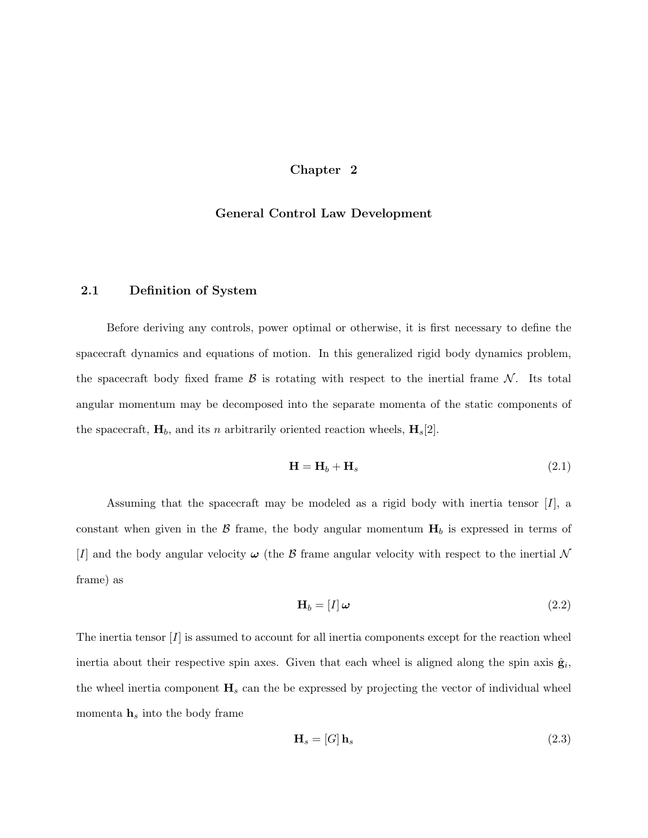## Chapter 2

### General Control Law Development

## 2.1 Definition of System

Before deriving any controls, power optimal or otherwise, it is first necessary to define the spacecraft dynamics and equations of motion. In this generalized rigid body dynamics problem, the spacecraft body fixed frame  $\beta$  is rotating with respect to the inertial frame  $\mathcal N$ . Its total angular momentum may be decomposed into the separate momenta of the static components of the spacecraft,  $H_b$ , and its n arbitrarily oriented reaction wheels,  $H_s[2]$ .

$$
\mathbf{H} = \mathbf{H}_b + \mathbf{H}_s \tag{2.1}
$$

Assuming that the spacecraft may be modeled as a rigid body with inertia tensor  $[I]$ , a constant when given in the  $\beta$  frame, the body angular momentum  $H_b$  is expressed in terms of [I] and the body angular velocity  $\omega$  (the B frame angular velocity with respect to the inertial N frame) as

$$
\mathbf{H}_b = [I] \boldsymbol{\omega} \tag{2.2}
$$

The inertia tensor  $[I]$  is assumed to account for all inertia components except for the reaction wheel inertia about their respective spin axes. Given that each wheel is aligned along the spin axis  $\hat{\mathbf{g}}_i$ , the wheel inertia component  $H_s$  can the be expressed by projecting the vector of individual wheel momenta  $h_s$  into the body frame

$$
\mathbf{H}_s = [G] \,\mathbf{h}_s \tag{2.3}
$$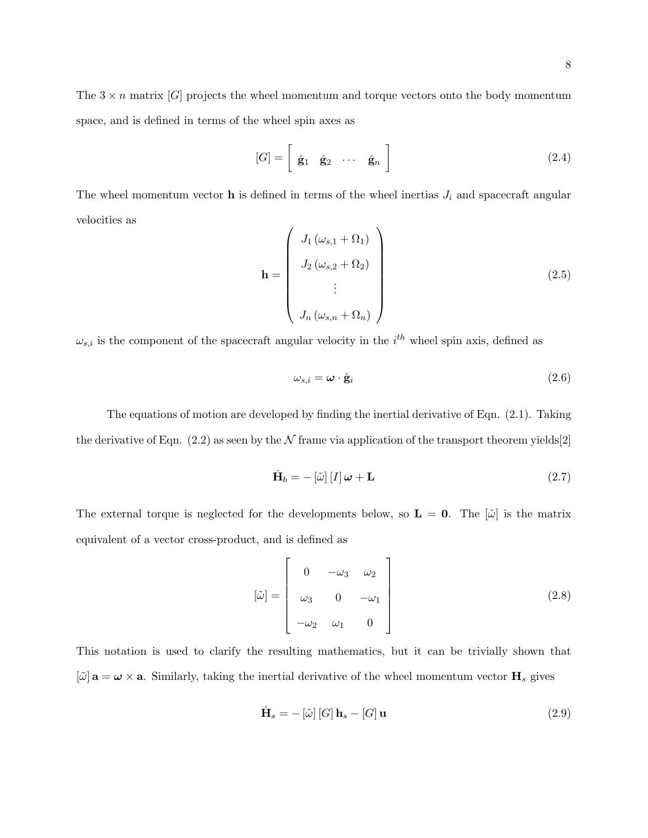The  $3 \times n$  matrix [G] projects the wheel momentum and torque vectors onto the body momentum space, and is defined in terms of the wheel spin axes as

$$
[G] = \left[ \begin{array}{ccc} \hat{\mathbf{g}}_1 & \hat{\mathbf{g}}_2 & \cdots & \hat{\mathbf{g}}_n \end{array} \right] \tag{2.4}
$$

The wheel momentum vector  $\bf{h}$  is defined in terms of the wheel inertias  $J_i$  and spacecraft angular velocities as

$$
\mathbf{h} = \begin{pmatrix} J_1(\omega_{s,1} + \Omega_1) \\ J_2(\omega_{s,2} + \Omega_2) \\ \vdots \\ J_n(\omega_{s,n} + \Omega_n) \end{pmatrix}
$$
 (2.5)

 $\omega_{s,i}$  is the component of the spacecraft angular velocity in the  $i^{th}$  wheel spin axis, defined as

$$
\omega_{s,i} = \boldsymbol{\omega} \cdot \hat{\mathbf{g}}_i \tag{2.6}
$$

The equations of motion are developed by finding the inertial derivative of Eqn. (2.1). Taking the derivative of Eqn.  $(2.2)$  as seen by the  $\mathcal N$  frame via application of the transport theorem yields[2]

$$
\dot{\mathbf{H}}_b = -\left[\tilde{\omega}\right]\left[I\right]\boldsymbol{\omega} + \mathbf{L} \tag{2.7}
$$

The external torque is neglected for the developments below, so  $\mathbf{L} = \mathbf{0}$ . The  $|\tilde{\omega}|$  is the matrix equivalent of a vector cross-product, and is defined as

$$
\begin{bmatrix} \tilde{\omega} \end{bmatrix} = \begin{bmatrix} 0 & -\omega_3 & \omega_2 \\ \omega_3 & 0 & -\omega_1 \\ -\omega_2 & \omega_1 & 0 \end{bmatrix}
$$
 (2.8)

This notation is used to clarify the resulting mathematics, but it can be trivially shown that  $[\tilde{\omega}]$  **a** =  $\omega \times$  **a**. Similarly, taking the inertial derivative of the wheel momentum vector **H**<sub>s</sub> gives

$$
\dot{\mathbf{H}}_{s} = -\left[\tilde{\omega}\right]\left[G\right]\mathbf{h}_{s} - \left[G\right]\mathbf{u}
$$
\n(2.9)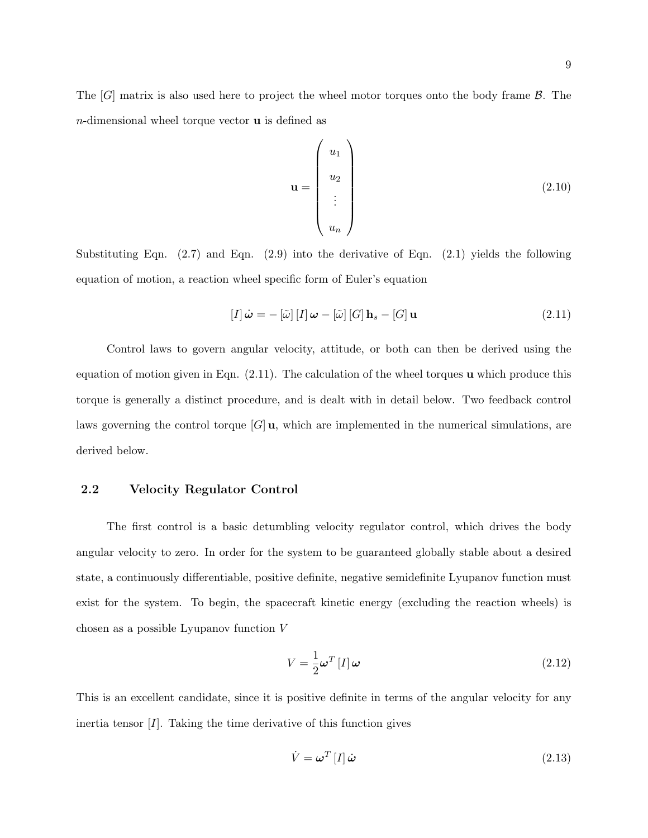The  $[G]$  matrix is also used here to project the wheel motor torques onto the body frame  $\mathcal{B}$ . The  $n$ -dimensional wheel torque vector  $\bf{u}$  is defined as

$$
\mathbf{u} = \begin{pmatrix} u_1 \\ u_2 \\ \vdots \\ u_n \end{pmatrix}
$$
 (2.10)

Substituting Eqn.  $(2.7)$  and Eqn.  $(2.9)$  into the derivative of Eqn.  $(2.1)$  yields the following equation of motion, a reaction wheel specific form of Euler's equation

$$
[I]\dot{\boldsymbol{\omega}} = -[\tilde{\omega}][I]\boldsymbol{\omega} - [\tilde{\omega}][G]\mathbf{h}_s - [G]\mathbf{u}
$$
\n(2.11)

Control laws to govern angular velocity, attitude, or both can then be derived using the equation of motion given in Eqn.  $(2.11)$ . The calculation of the wheel torques **u** which produce this torque is generally a distinct procedure, and is dealt with in detail below. Two feedback control laws governing the control torque  $[G]$ **u**, which are implemented in the numerical simulations, are derived below.

## 2.2 Velocity Regulator Control

The first control is a basic detumbling velocity regulator control, which drives the body angular velocity to zero. In order for the system to be guaranteed globally stable about a desired state, a continuously differentiable, positive definite, negative semidefinite Lyupanov function must exist for the system. To begin, the spacecraft kinetic energy (excluding the reaction wheels) is chosen as a possible Lyupanov function V

$$
V = \frac{1}{2}\boldsymbol{\omega}^T \left[ I \right] \boldsymbol{\omega} \tag{2.12}
$$

This is an excellent candidate, since it is positive definite in terms of the angular velocity for any inertia tensor  $[I]$ . Taking the time derivative of this function gives

$$
\dot{V} = \boldsymbol{\omega}^T \left[ I \right] \dot{\boldsymbol{\omega}} \tag{2.13}
$$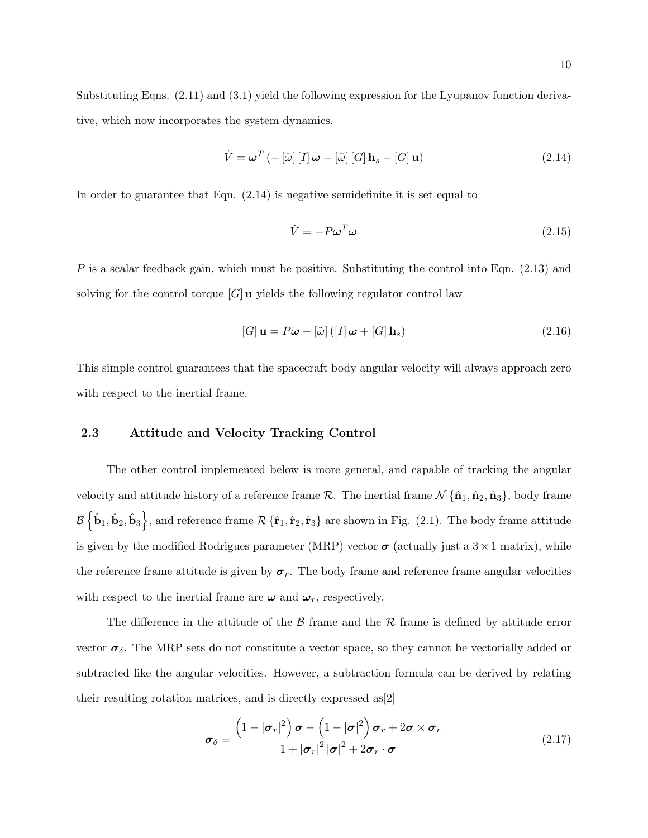Substituting Eqns. (2.11) and (3.1) yield the following expression for the Lyupanov function derivative, which now incorporates the system dynamics.

$$
\dot{V} = \boldsymbol{\omega}^T \left( -\left[\tilde{\omega}\right] \left[I\right] \boldsymbol{\omega} - \left[\tilde{\omega}\right] \left[G\right] \mathbf{h}_s - \left[G\right] \mathbf{u} \right) \tag{2.14}
$$

In order to guarantee that Eqn. (2.14) is negative semidefinite it is set equal to

$$
\dot{V} = -P\omega^T\omega\tag{2.15}
$$

P is a scalar feedback gain, which must be positive. Substituting the control into Eqn. (2.13) and solving for the control torque  $[G]$ **u** yields the following regulator control law

$$
[G] \mathbf{u} = P\boldsymbol{\omega} - [\tilde{\omega}] ([I] \boldsymbol{\omega} + [G] \mathbf{h}_s)
$$
\n(2.16)

This simple control guarantees that the spacecraft body angular velocity will always approach zero with respect to the inertial frame.

## 2.3 Attitude and Velocity Tracking Control

The other control implemented below is more general, and capable of tracking the angular velocity and attitude history of a reference frame  $\mathcal{R}$ . The inertial frame  $\mathcal{N} \{\hat{\mathbf{n}}_1, \hat{\mathbf{n}}_2, \hat{\mathbf{n}}_3\}$ , body frame  $\mathcal{B} \left\{ \hat{\mathbf{b}}_1, \hat{\mathbf{b}}_2, \hat{\mathbf{b}}_3 \right\}$ , and reference frame  $\mathcal{R} \left\{ \hat{\mathbf{r}}_1, \hat{\mathbf{r}}_2, \hat{\mathbf{r}}_3 \right\}$  are shown in Fig. (2.1). The body frame attitude is given by the modified Rodrigues parameter (MRP) vector  $\sigma$  (actually just a  $3 \times 1$  matrix), while the reference frame attitude is given by  $\sigma_r$ . The body frame and reference frame angular velocities with respect to the inertial frame are  $\omega$  and  $\omega_r$ , respectively.

The difference in the attitude of the  $\beta$  frame and the  $\beta$  frame is defined by attitude error vector  $\sigma_{\delta}$ . The MRP sets do not constitute a vector space, so they cannot be vectorially added or subtracted like the angular velocities. However, a subtraction formula can be derived by relating their resulting rotation matrices, and is directly expressed as[2]

$$
\boldsymbol{\sigma}_{\delta} = \frac{\left(1 - |\boldsymbol{\sigma}_r|^2\right)\boldsymbol{\sigma} - \left(1 - |\boldsymbol{\sigma}|^2\right)\boldsymbol{\sigma}_r + 2\boldsymbol{\sigma} \times \boldsymbol{\sigma}_r}{1 + |\boldsymbol{\sigma}_r|^2 |\boldsymbol{\sigma}|^2 + 2\boldsymbol{\sigma}_r \cdot \boldsymbol{\sigma}}
$$
\n(2.17)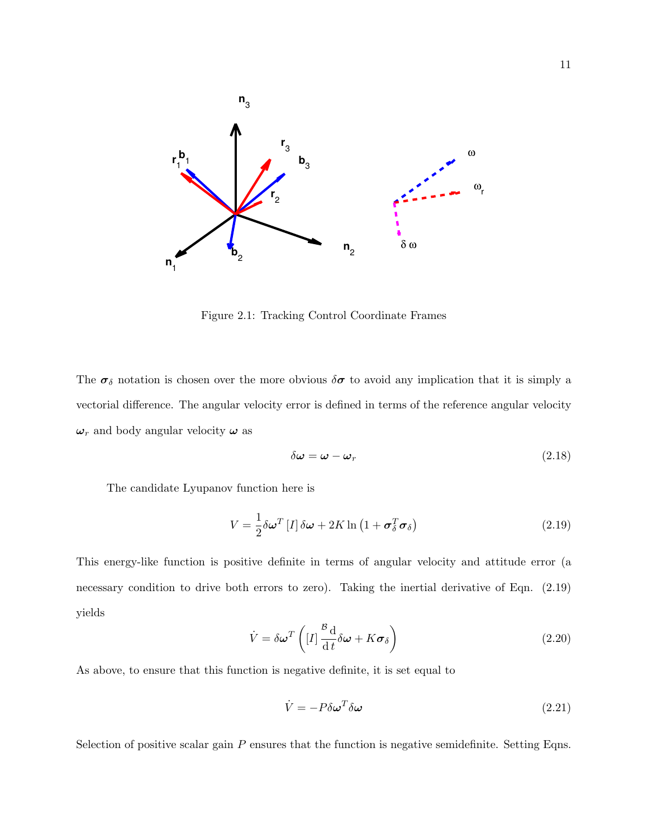

Figure 2.1: Tracking Control Coordinate Frames

The  $\sigma_{\delta}$  notation is chosen over the more obvious  $\delta\sigma$  to avoid any implication that it is simply a vectorial difference. The angular velocity error is defined in terms of the reference angular velocity  $\omega_r$  and body angular velocity  $\omega$  as

$$
\delta\omega = \omega - \omega_r \tag{2.18}
$$

The candidate Lyupanov function here is

$$
V = \frac{1}{2} \delta \omega^T [I] \delta \omega + 2K \ln \left( 1 + \sigma_\delta^T \sigma_\delta \right)
$$
 (2.19)

This energy-like function is positive definite in terms of angular velocity and attitude error (a necessary condition to drive both errors to zero). Taking the inertial derivative of Eqn. (2.19) yields

$$
\dot{V} = \delta \omega^T \left( [I] \frac{\partial^2 \mathbf{d}}{\partial t} \delta \omega + K \boldsymbol{\sigma}_{\delta} \right)
$$
\n(2.20)

As above, to ensure that this function is negative definite, it is set equal to

$$
\dot{V} = -P\delta\omega^T\delta\omega\tag{2.21}
$$

Selection of positive scalar gain  $P$  ensures that the function is negative semidefinite. Setting Eqns.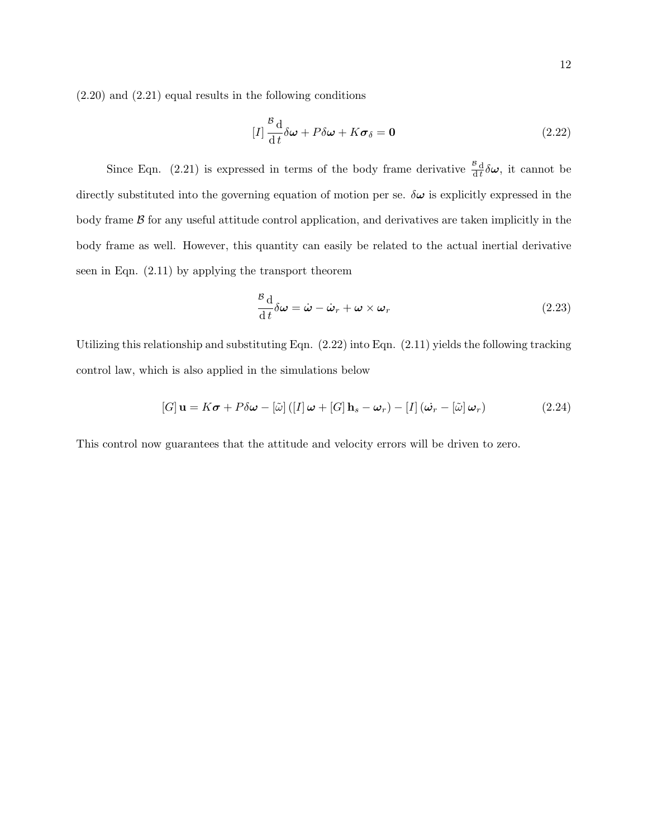$$
[I] \frac{\partial^2 \mathbf{d}}{\partial t} \delta \omega + P \delta \omega + K \sigma_{\delta} = \mathbf{0}
$$
 (2.22)

Since Eqn. (2.21) is expressed in terms of the body frame derivative  $\frac{B}{dt}\delta\omega$ , it cannot be directly substituted into the governing equation of motion per se.  $\delta\omega$  is explicitly expressed in the body frame  $\beta$  for any useful attitude control application, and derivatives are taken implicitly in the body frame as well. However, this quantity can easily be related to the actual inertial derivative seen in Eqn. (2.11) by applying the transport theorem

$$
\frac{\partial d}{\partial t}\delta\omega = \dot{\omega} - \dot{\omega}_r + \omega \times \omega_r \tag{2.23}
$$

Utilizing this relationship and substituting Eqn. (2.22) into Eqn. (2.11) yields the following tracking control law, which is also applied in the simulations below

$$
[G] \mathbf{u} = K\boldsymbol{\sigma} + P\delta\boldsymbol{\omega} - [\tilde{\omega}] ([I] \boldsymbol{\omega} + [G] \mathbf{h}_s - \boldsymbol{\omega}_r) - [I] (\dot{\boldsymbol{\omega}}_r - [\tilde{\omega}] \boldsymbol{\omega}_r)
$$
(2.24)

This control now guarantees that the attitude and velocity errors will be driven to zero.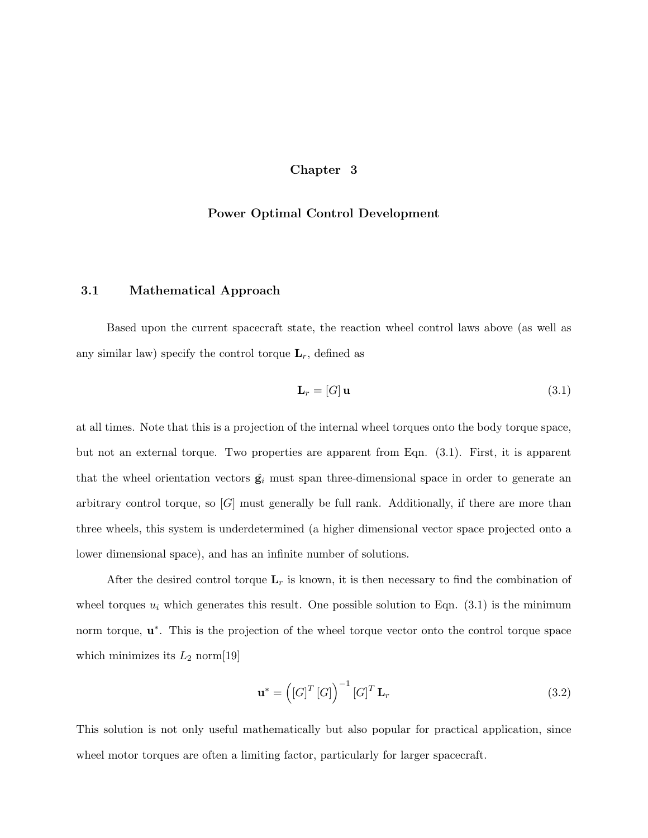## Chapter 3

### Power Optimal Control Development

## 3.1 Mathematical Approach

Based upon the current spacecraft state, the reaction wheel control laws above (as well as any similar law) specify the control torque  $\mathbf{L}_r$ , defined as

$$
\mathbf{L}_r = [G] \mathbf{u} \tag{3.1}
$$

at all times. Note that this is a projection of the internal wheel torques onto the body torque space, but not an external torque. Two properties are apparent from Eqn. (3.1). First, it is apparent that the wheel orientation vectors  $\hat{\mathbf{g}}_i$  must span three-dimensional space in order to generate an arbitrary control torque, so  $[G]$  must generally be full rank. Additionally, if there are more than three wheels, this system is underdetermined (a higher dimensional vector space projected onto a lower dimensional space), and has an infinite number of solutions.

After the desired control torque  $\mathbf{L}_r$  is known, it is then necessary to find the combination of wheel torques  $u_i$  which generates this result. One possible solution to Eqn. (3.1) is the minimum norm torque,  $\mathbf{u}^*$ . This is the projection of the wheel torque vector onto the control torque space which minimizes its  $L_2$  norm[19]

$$
\mathbf{u}^* = \left( \left[ G \right]^T \left[ G \right] \right)^{-1} \left[ G \right]^T \mathbf{L}_r \tag{3.2}
$$

This solution is not only useful mathematically but also popular for practical application, since wheel motor torques are often a limiting factor, particularly for larger spacecraft.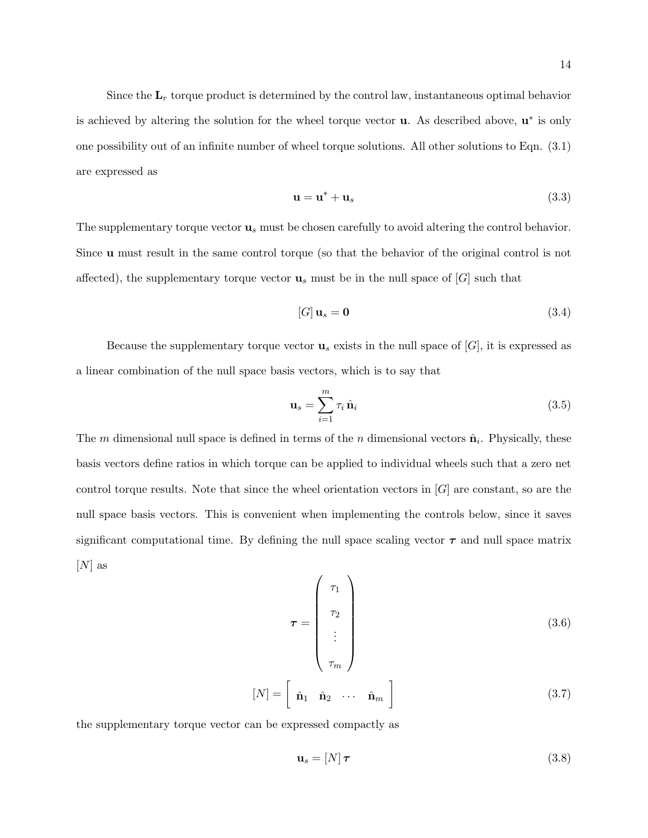Since the  $L_r$  torque product is determined by the control law, instantaneous optimal behavior is achieved by altering the solution for the wheel torque vector  $\bf{u}$ . As described above,  $\bf{u}^*$  is only one possibility out of an infinite number of wheel torque solutions. All other solutions to Eqn. (3.1) are expressed as

$$
\mathbf{u} = \mathbf{u}^* + \mathbf{u}_s \tag{3.3}
$$

The supplementary torque vector  $\mathbf{u}_s$  must be chosen carefully to avoid altering the control behavior. Since u must result in the same control torque (so that the behavior of the original control is not affected), the supplementary torque vector  $\mathbf{u}_s$  must be in the null space of  $[G]$  such that

$$
[G] \mathbf{u}_s = \mathbf{0} \tag{3.4}
$$

Because the supplementary torque vector  $\mathbf{u}_s$  exists in the null space of  $[G]$ , it is expressed as a linear combination of the null space basis vectors, which is to say that

$$
\mathbf{u}_s = \sum_{i=1}^m \tau_i \,\hat{\mathbf{n}}_i \tag{3.5}
$$

The m dimensional null space is defined in terms of the n dimensional vectors  $\hat{\mathbf{n}}_i$ . Physically, these basis vectors define ratios in which torque can be applied to individual wheels such that a zero net control torque results. Note that since the wheel orientation vectors in  $[G]$  are constant, so are the null space basis vectors. This is convenient when implementing the controls below, since it saves significant computational time. By defining the null space scaling vector  $\tau$  and null space matrix  $[N]$  as

$$
\boldsymbol{\tau} = \begin{pmatrix} \tau_1 \\ \tau_2 \\ \vdots \\ \tau_m \end{pmatrix}
$$
 (3.6)

$$
[N] = \left[\begin{array}{cccc} \hat{\mathbf{n}}_1 & \hat{\mathbf{n}}_2 & \cdots & \hat{\mathbf{n}}_m \end{array}\right] \tag{3.7}
$$

the supplementary torque vector can be expressed compactly as

$$
\mathbf{u}_s = [N] \,\boldsymbol{\tau} \tag{3.8}
$$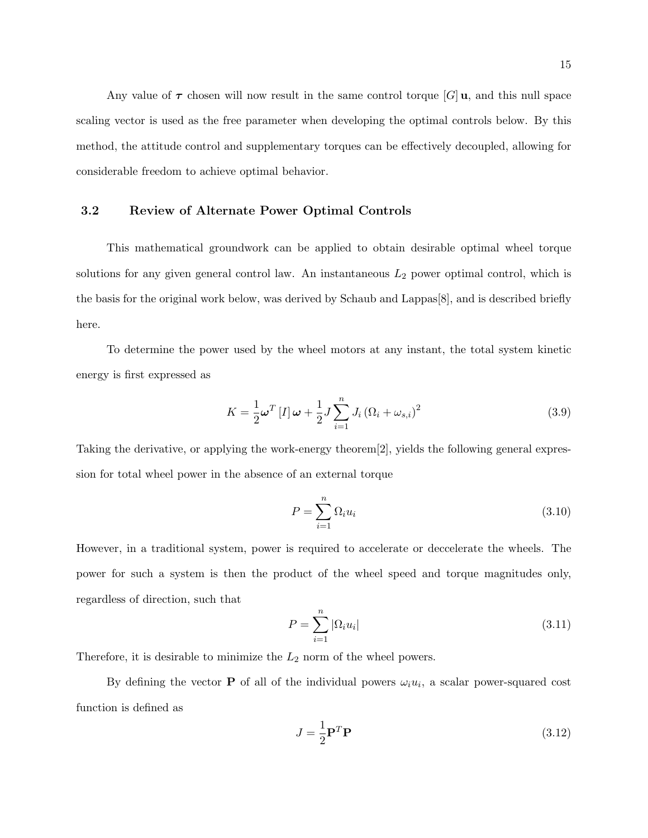Any value of  $\tau$  chosen will now result in the same control torque [G] u, and this null space scaling vector is used as the free parameter when developing the optimal controls below. By this method, the attitude control and supplementary torques can be effectively decoupled, allowing for considerable freedom to achieve optimal behavior.

## 3.2 Review of Alternate Power Optimal Controls

This mathematical groundwork can be applied to obtain desirable optimal wheel torque solutions for any given general control law. An instantaneous  $L_2$  power optimal control, which is the basis for the original work below, was derived by Schaub and Lappas[8], and is described briefly here.

To determine the power used by the wheel motors at any instant, the total system kinetic energy is first expressed as

$$
K = \frac{1}{2}\boldsymbol{\omega}^T \left[ I \right] \boldsymbol{\omega} + \frac{1}{2} J \sum_{i=1}^n J_i \left( \Omega_i + \omega_{s,i} \right)^2 \tag{3.9}
$$

Taking the derivative, or applying the work-energy theorem[2], yields the following general expression for total wheel power in the absence of an external torque

$$
P = \sum_{i=1}^{n} \Omega_i u_i \tag{3.10}
$$

However, in a traditional system, power is required to accelerate or deccelerate the wheels. The power for such a system is then the product of the wheel speed and torque magnitudes only, regardless of direction, such that

$$
P = \sum_{i=1}^{n} |\Omega_i u_i| \tag{3.11}
$$

Therefore, it is desirable to minimize the  $L_2$  norm of the wheel powers.

By defining the vector **P** of all of the individual powers  $\omega_i u_i$ , a scalar power-squared cost function is defined as

$$
J = \frac{1}{2} \mathbf{P}^T \mathbf{P} \tag{3.12}
$$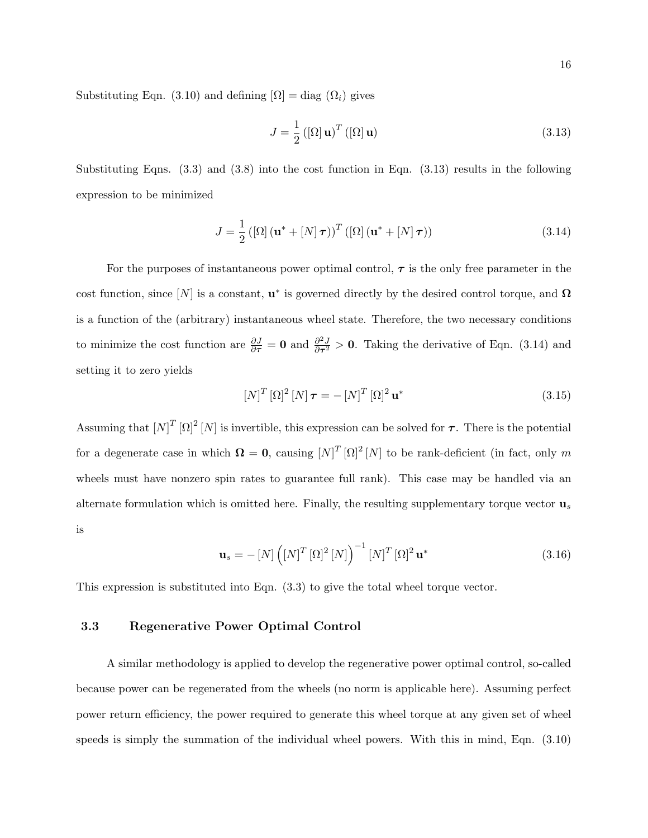Substituting Eqn. (3.10) and defining  $[\Omega] = diag(\Omega_i)$  gives

$$
J = \frac{1}{2} \left( [\Omega] \mathbf{u} \right)^T \left( [\Omega] \mathbf{u} \right) \tag{3.13}
$$

Substituting Eqns. (3.3) and (3.8) into the cost function in Eqn. (3.13) results in the following expression to be minimized

$$
J = \frac{1}{2} \left( \left[ \Omega \right] \left( \mathbf{u}^* + \left[ N \right] \boldsymbol{\tau} \right) \right)^T \left( \left[ \Omega \right] \left( \mathbf{u}^* + \left[ N \right] \boldsymbol{\tau} \right) \right) \tag{3.14}
$$

For the purposes of instantaneous power optimal control,  $\tau$  is the only free parameter in the cost function, since  $[N]$  is a constant,  $\mathbf{u}^*$  is governed directly by the desired control torque, and  $\Omega$ is a function of the (arbitrary) instantaneous wheel state. Therefore, the two necessary conditions to minimize the cost function are  $\frac{\partial J}{\partial \tau} = 0$  and  $\frac{\partial^2 J}{\partial \tau^2}$  $\frac{\partial^2 J}{\partial \tau^2} > 0$ . Taking the derivative of Eqn. (3.14) and setting it to zero yields

$$
\left[N\right]^{T}\left[\Omega\right]^{2}\left[N\right]\boldsymbol{\tau}=-\left[N\right]^{T}\left[\Omega\right]^{2}\mathbf{u}^{*}\tag{3.15}
$$

Assuming that  $[N]^T [\Omega]^2 [N]$  is invertible, this expression can be solved for  $\tau$ . There is the potential for a degenerate case in which  $\mathbf{\Omega} = \mathbf{0}$ , causing  $[N]^T [\Omega]^2 [N]$  to be rank-deficient (in fact, only m wheels must have nonzero spin rates to guarantee full rank). This case may be handled via an alternate formulation which is omitted here. Finally, the resulting supplementary torque vector  $\mathbf{u}_s$ is

$$
\mathbf{u}_s = -\left[N\right] \left(\left[N\right]^T \left[\Omega\right]^2 \left[N\right]\right)^{-1} \left[N\right]^T \left[\Omega\right]^2 \mathbf{u}^* \tag{3.16}
$$

This expression is substituted into Eqn. (3.3) to give the total wheel torque vector.

#### 3.3 Regenerative Power Optimal Control

A similar methodology is applied to develop the regenerative power optimal control, so-called because power can be regenerated from the wheels (no norm is applicable here). Assuming perfect power return efficiency, the power required to generate this wheel torque at any given set of wheel speeds is simply the summation of the individual wheel powers. With this in mind, Eqn. (3.10)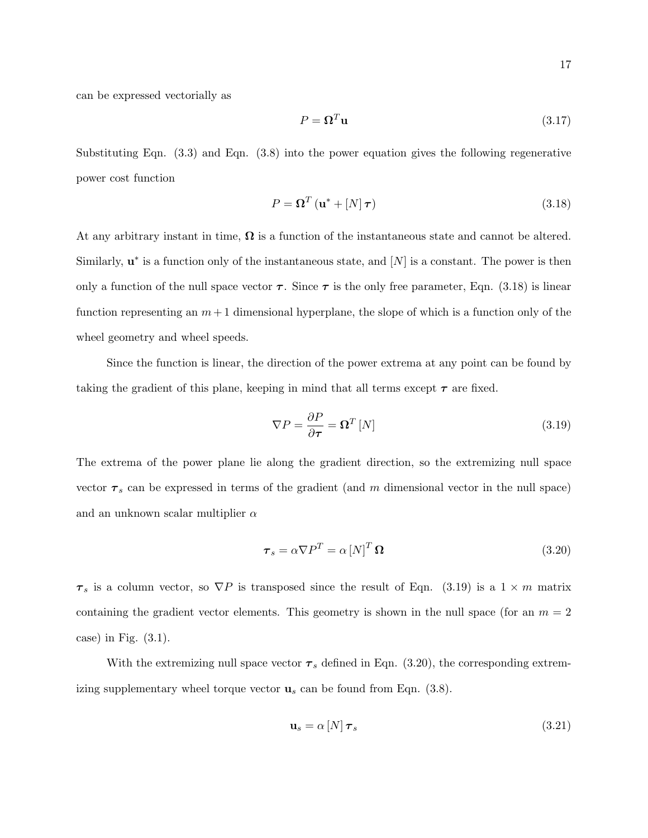can be expressed vectorially as

$$
P = \mathbf{\Omega}^T \mathbf{u} \tag{3.17}
$$

Substituting Eqn.  $(3.3)$  and Eqn.  $(3.8)$  into the power equation gives the following regenerative power cost function

$$
P = \mathbf{\Omega}^T \left( \mathbf{u}^* + [N] \,\boldsymbol{\tau} \right) \tag{3.18}
$$

At any arbitrary instant in time,  $\Omega$  is a function of the instantaneous state and cannot be altered. Similarly,  $\mathbf{u}^*$  is a function only of the instantaneous state, and  $[N]$  is a constant. The power is then only a function of the null space vector  $\tau$ . Since  $\tau$  is the only free parameter, Eqn. (3.18) is linear function representing an  $m+1$  dimensional hyperplane, the slope of which is a function only of the wheel geometry and wheel speeds.

Since the function is linear, the direction of the power extrema at any point can be found by taking the gradient of this plane, keeping in mind that all terms except  $\tau$  are fixed.

$$
\nabla P = \frac{\partial P}{\partial \tau} = \mathbf{\Omega}^T \left[ N \right] \tag{3.19}
$$

The extrema of the power plane lie along the gradient direction, so the extremizing null space vector  $\tau_s$  can be expressed in terms of the gradient (and m dimensional vector in the null space) and an unknown scalar multiplier  $\alpha$ 

$$
\boldsymbol{\tau}_s = \alpha \nabla P^T = \alpha \left[ N \right]^T \boldsymbol{\Omega} \tag{3.20}
$$

 $\tau_s$  is a column vector, so  $\nabla P$  is transposed since the result of Eqn. (3.19) is a 1 × m matrix containing the gradient vector elements. This geometry is shown in the null space (for an  $m = 2$ ) case) in Fig. (3.1).

With the extremizing null space vector  $\tau_s$  defined in Eqn. (3.20), the corresponding extremizing supplementary wheel torque vector  $\mathbf{u}_s$  can be found from Eqn. (3.8).

$$
\mathbf{u}_s = \alpha \left[ N \right] \boldsymbol{\tau}_s \tag{3.21}
$$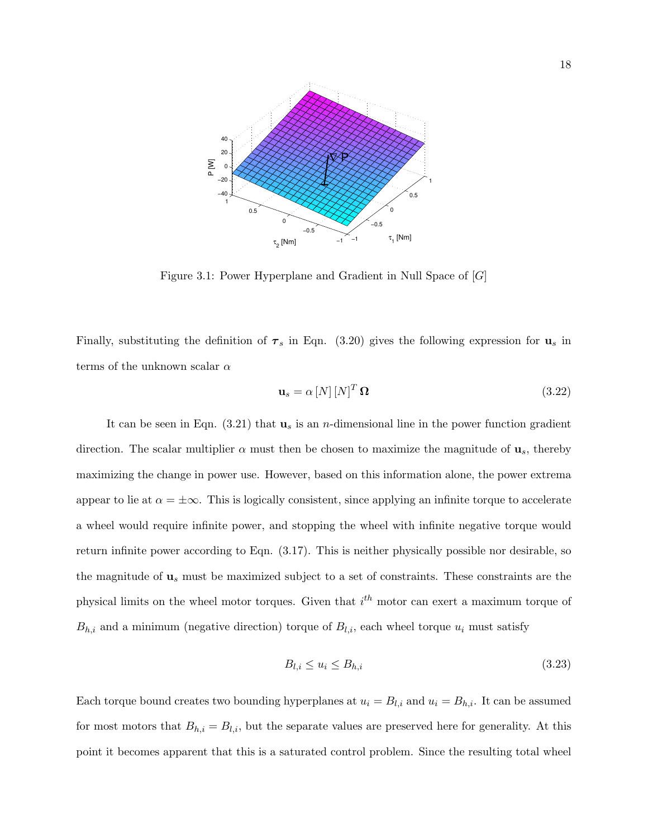

Figure 3.1: Power Hyperplane and Gradient in Null Space of [G]

Finally, substituting the definition of  $\tau_s$  in Eqn. (3.20) gives the following expression for  $\mathbf{u}_s$  in terms of the unknown scalar  $\alpha$ 

$$
\mathbf{u}_s = \alpha \left[ N \right] \left[ N \right]^T \mathbf{\Omega} \tag{3.22}
$$

It can be seen in Eqn.  $(3.21)$  that  $\mathbf{u}_s$  is an *n*-dimensional line in the power function gradient direction. The scalar multiplier  $\alpha$  must then be chosen to maximize the magnitude of  $\mathbf{u}_s$ , thereby maximizing the change in power use. However, based on this information alone, the power extrema appear to lie at  $\alpha = \pm \infty$ . This is logically consistent, since applying an infinite torque to accelerate a wheel would require infinite power, and stopping the wheel with infinite negative torque would return infinite power according to Eqn. (3.17). This is neither physically possible nor desirable, so the magnitude of  $\mathbf{u}_s$  must be maximized subject to a set of constraints. These constraints are the physical limits on the wheel motor torques. Given that  $i^{th}$  motor can exert a maximum torque of  $B_{h,i}$  and a minimum (negative direction) torque of  $B_{l,i}$ , each wheel torque  $u_i$  must satisfy

$$
B_{l,i} \le u_i \le B_{h,i} \tag{3.23}
$$

Each torque bound creates two bounding hyperplanes at  $u_i = B_{l,i}$  and  $u_i = B_{h,i}$ . It can be assumed for most motors that  $B_{h,i} = B_{l,i}$ , but the separate values are preserved here for generality. At this point it becomes apparent that this is a saturated control problem. Since the resulting total wheel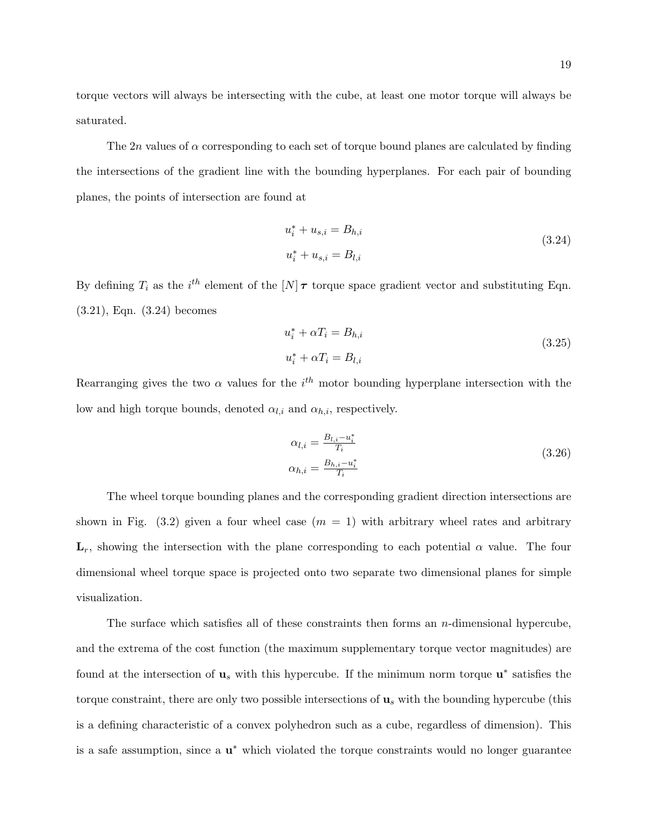torque vectors will always be intersecting with the cube, at least one motor torque will always be saturated.

The 2n values of  $\alpha$  corresponding to each set of torque bound planes are calculated by finding the intersections of the gradient line with the bounding hyperplanes. For each pair of bounding planes, the points of intersection are found at

$$
u_i^* + u_{s,i} = B_{h,i}
$$
  
\n
$$
u_i^* + u_{s,i} = B_{l,i}
$$
\n(3.24)

By defining  $T_i$  as the  $i^{th}$  element of the  $[N] \tau$  torque space gradient vector and substituting Eqn. (3.21), Eqn. (3.24) becomes

$$
u_i^* + \alpha T_i = B_{h,i}
$$
  
\n
$$
u_i^* + \alpha T_i = B_{l,i}
$$
\n(3.25)

Rearranging gives the two  $\alpha$  values for the  $i^{th}$  motor bounding hyperplane intersection with the low and high torque bounds, denoted  $\alpha_{l,i}$  and  $\alpha_{h,i}$ , respectively.

$$
\alpha_{l,i} = \frac{B_{l,i} - u_i^*}{T_i}
$$
  
\n
$$
\alpha_{h,i} = \frac{B_{h,i} - u_i^*}{T_i}
$$
\n(3.26)

The wheel torque bounding planes and the corresponding gradient direction intersections are shown in Fig. (3.2) given a four wheel case  $(m = 1)$  with arbitrary wheel rates and arbitrary  $\mathbf{L}_r$ , showing the intersection with the plane corresponding to each potential  $\alpha$  value. The four dimensional wheel torque space is projected onto two separate two dimensional planes for simple visualization.

The surface which satisfies all of these constraints then forms an  $n$ -dimensional hypercube, and the extrema of the cost function (the maximum supplementary torque vector magnitudes) are found at the intersection of  $\mathbf{u}_s$  with this hypercube. If the minimum norm torque  $\mathbf{u}^*$  satisfies the torque constraint, there are only two possible intersections of  $\mathbf{u}_s$  with the bounding hypercube (this is a defining characteristic of a convex polyhedron such as a cube, regardless of dimension). This is a safe assumption, since a  $\mathbf{u}^*$  which violated the torque constraints would no longer guarantee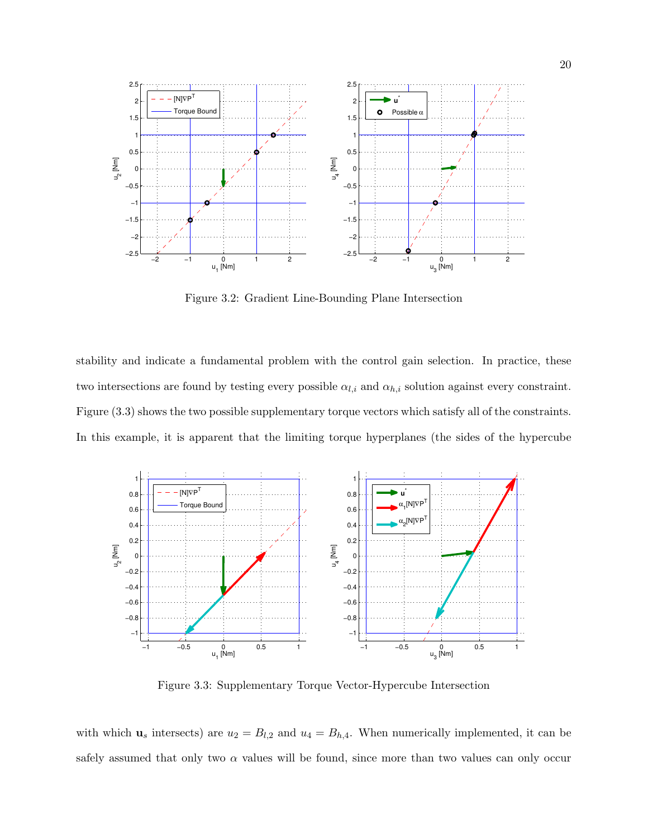

Figure 3.2: Gradient Line-Bounding Plane Intersection

stability and indicate a fundamental problem with the control gain selection. In practice, these two intersections are found by testing every possible  $\alpha_{l,i}$  and  $\alpha_{h,i}$  solution against every constraint. Figure (3.3) shows the two possible supplementary torque vectors which satisfy all of the constraints. In this example, it is apparent that the limiting torque hyperplanes (the sides of the hypercube



Figure 3.3: Supplementary Torque Vector-Hypercube Intersection

with which  $u_s$  intersects) are  $u_2 = B_{l,2}$  and  $u_4 = B_{h,4}$ . When numerically implemented, it can be safely assumed that only two  $\alpha$  values will be found, since more than two values can only occur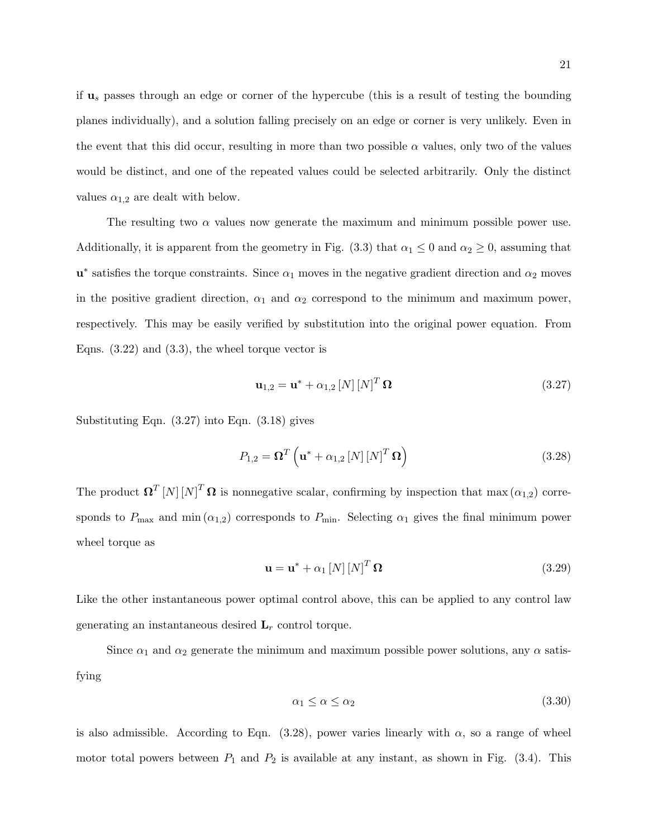if  $u_s$  passes through an edge or corner of the hypercube (this is a result of testing the bounding planes individually), and a solution falling precisely on an edge or corner is very unlikely. Even in the event that this did occur, resulting in more than two possible  $\alpha$  values, only two of the values would be distinct, and one of the repeated values could be selected arbitrarily. Only the distinct values  $\alpha_{1,2}$  are dealt with below.

The resulting two  $\alpha$  values now generate the maximum and minimum possible power use. Additionally, it is apparent from the geometry in Fig. (3.3) that  $\alpha_1 \leq 0$  and  $\alpha_2 \geq 0$ , assuming that  $\mathbf{u}^*$  satisfies the torque constraints. Since  $\alpha_1$  moves in the negative gradient direction and  $\alpha_2$  moves in the positive gradient direction,  $\alpha_1$  and  $\alpha_2$  correspond to the minimum and maximum power, respectively. This may be easily verified by substitution into the original power equation. From Eqns.  $(3.22)$  and  $(3.3)$ , the wheel torque vector is

$$
\mathbf{u}_{1,2} = \mathbf{u}^* + \alpha_{1,2} \left[ N \right] \left[ N \right]^T \mathbf{\Omega} \tag{3.27}
$$

Substituting Eqn. (3.27) into Eqn. (3.18) gives

$$
P_{1,2} = \mathbf{\Omega}^T \left( \mathbf{u}^* + \alpha_{1,2} \left[ N \right] \left[ N \right]^T \mathbf{\Omega} \right) \tag{3.28}
$$

The product  $\Omega^T [N] [N]^T \Omega$  is nonnegative scalar, confirming by inspection that max  $(\alpha_{1,2})$  corresponds to  $P_{\text{max}}$  and min $(\alpha_{1,2})$  corresponds to  $P_{\text{min}}$ . Selecting  $\alpha_1$  gives the final minimum power wheel torque as

$$
\mathbf{u} = \mathbf{u}^* + \alpha_1 [N] [N]^T \Omega \tag{3.29}
$$

Like the other instantaneous power optimal control above, this can be applied to any control law generating an instantaneous desired  $L_r$  control torque.

Since  $\alpha_1$  and  $\alpha_2$  generate the minimum and maximum possible power solutions, any  $\alpha$  satisfying

$$
\alpha_1 \le \alpha \le \alpha_2 \tag{3.30}
$$

is also admissible. According to Eqn. (3.28), power varies linearly with  $\alpha$ , so a range of wheel motor total powers between  $P_1$  and  $P_2$  is available at any instant, as shown in Fig. (3.4). This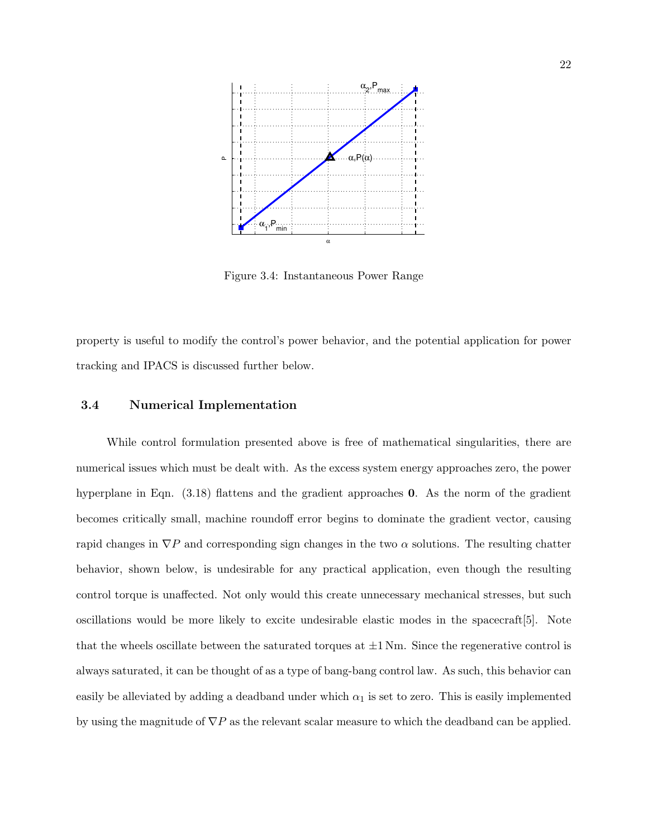

Figure 3.4: Instantaneous Power Range

property is useful to modify the control's power behavior, and the potential application for power tracking and IPACS is discussed further below.

### 3.4 Numerical Implementation

While control formulation presented above is free of mathematical singularities, there are numerical issues which must be dealt with. As the excess system energy approaches zero, the power hyperplane in Eqn. (3.18) flattens and the gradient approaches 0. As the norm of the gradient becomes critically small, machine roundoff error begins to dominate the gradient vector, causing rapid changes in  $\nabla P$  and corresponding sign changes in the two  $\alpha$  solutions. The resulting chatter behavior, shown below, is undesirable for any practical application, even though the resulting control torque is unaffected. Not only would this create unnecessary mechanical stresses, but such oscillations would be more likely to excite undesirable elastic modes in the spacecraft[5]. Note that the wheels oscillate between the saturated torques at  $\pm 1$  Nm. Since the regenerative control is always saturated, it can be thought of as a type of bang-bang control law. As such, this behavior can easily be alleviated by adding a deadband under which  $\alpha_1$  is set to zero. This is easily implemented by using the magnitude of  $\nabla P$  as the relevant scalar measure to which the deadband can be applied.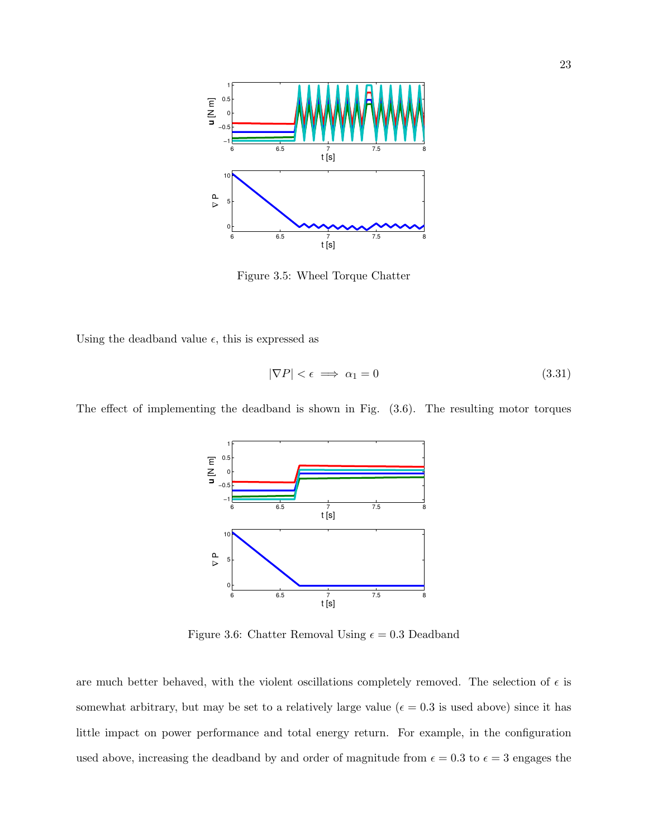

Figure 3.5: Wheel Torque Chatter

Using the deadband value  $\epsilon$ , this is expressed as

$$
|\nabla P| < \epsilon \implies \alpha_1 = 0 \tag{3.31}
$$



The effect of implementing the deadband is shown in Fig. (3.6). The resulting motor torques

Figure 3.6: Chatter Removal Using  $\epsilon = 0.3$  Deadband

are much better behaved, with the violent oscillations completely removed. The selection of  $\epsilon$  is somewhat arbitrary, but may be set to a relatively large value ( $\epsilon = 0.3$  is used above) since it has little impact on power performance and total energy return. For example, in the configuration used above, increasing the deadband by and order of magnitude from  $\epsilon = 0.3$  to  $\epsilon = 3$  engages the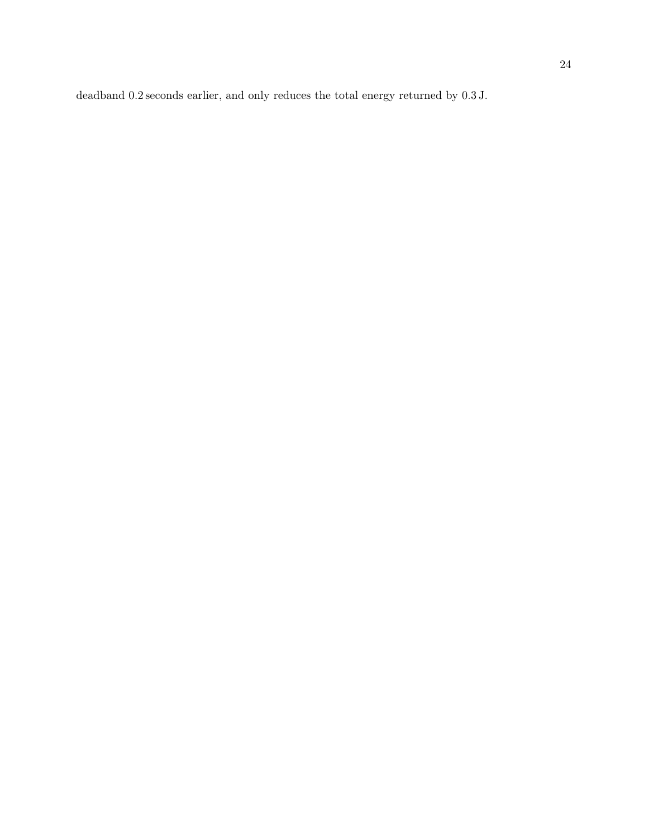deadband 0.2 seconds earlier, and only reduces the total energy returned by 0.3 J.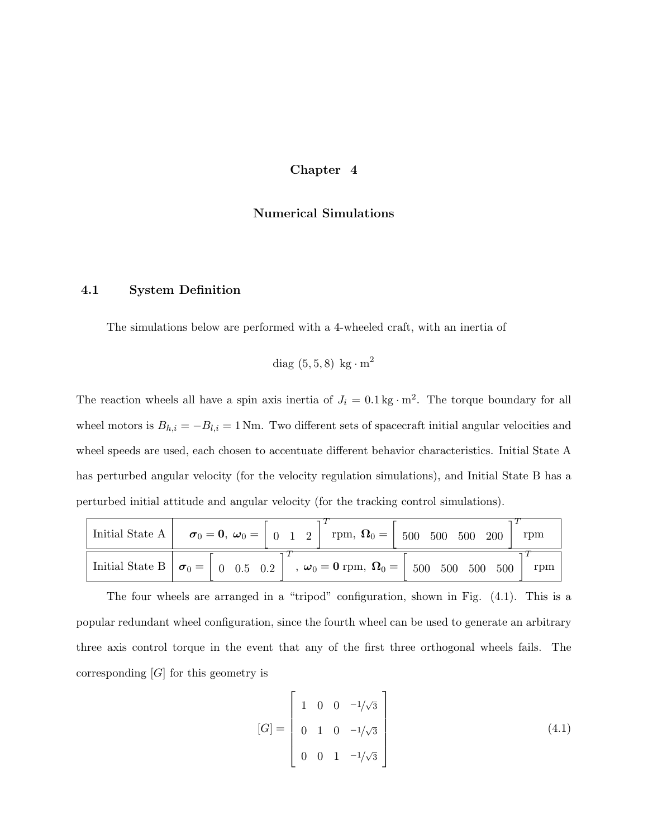## Chapter 4

## Numerical Simulations

## 4.1 System Definition

The simulations below are performed with a 4-wheeled craft, with an inertia of

diag 
$$
(5,5,8)
$$
 kg·m<sup>2</sup>

The reaction wheels all have a spin axis inertia of  $J_i = 0.1 \text{ kg} \cdot \text{m}^2$ . The torque boundary for all wheel motors is  $B_{h,i} = -B_{l,i} = 1$  Nm. Two different sets of spacecraft initial angular velocities and wheel speeds are used, each chosen to accentuate different behavior characteristics. Initial State A has perturbed angular velocity (for the velocity regulation simulations), and Initial State B has a perturbed initial attitude and angular velocity (for the tracking control simulations).

|  | $\sigma_1$ Initial State A $\vert \sigma_0 = 0, \ \omega_0 = \vert 0 \ 1 \ 2 \vert \ \text{rpm}, \ \Omega_0 = \vert 500 \ 500 \ 500 \ 200 \vert$ | rpm                                                                                                                                                                                                                                                                                                                                                                |
|--|--------------------------------------------------------------------------------------------------------------------------------------------------|--------------------------------------------------------------------------------------------------------------------------------------------------------------------------------------------------------------------------------------------------------------------------------------------------------------------------------------------------------------------|
|  |                                                                                                                                                  | $\alpha_1$ Initial State B $\vert \sigma_0 = \vert 0 \; \vert 0.5 \; \vert 0.2 \vert 0.5 \; \vert 0.2 \vert 0.00 \; \vert 0.00 \vert 0.00 \vert 0.00 \vert 0.00 \vert 0.00 \vert 0.00 \vert 0.00 \vert 0.00 \vert 0.00 \vert 0.00 \vert 0.00 \vert 0.00 \vert 0.00 \vert 0.00 \vert 0.00 \vert 0.00 \vert 0.00 \vert 0.00 \vert 0.00 \vert 0.00 \vert 0.00$<br>rpm |

The four wheels are arranged in a "tripod" configuration, shown in Fig. (4.1). This is a popular redundant wheel configuration, since the fourth wheel can be used to generate an arbitrary three axis control torque in the event that any of the first three orthogonal wheels fails. The corresponding [G] for this geometry is

$$
[G] = \begin{bmatrix} 1 & 0 & 0 & -1/\sqrt{3} \\ 0 & 1 & 0 & -1/\sqrt{3} \\ 0 & 0 & 1 & -1/\sqrt{3} \end{bmatrix}
$$
(4.1)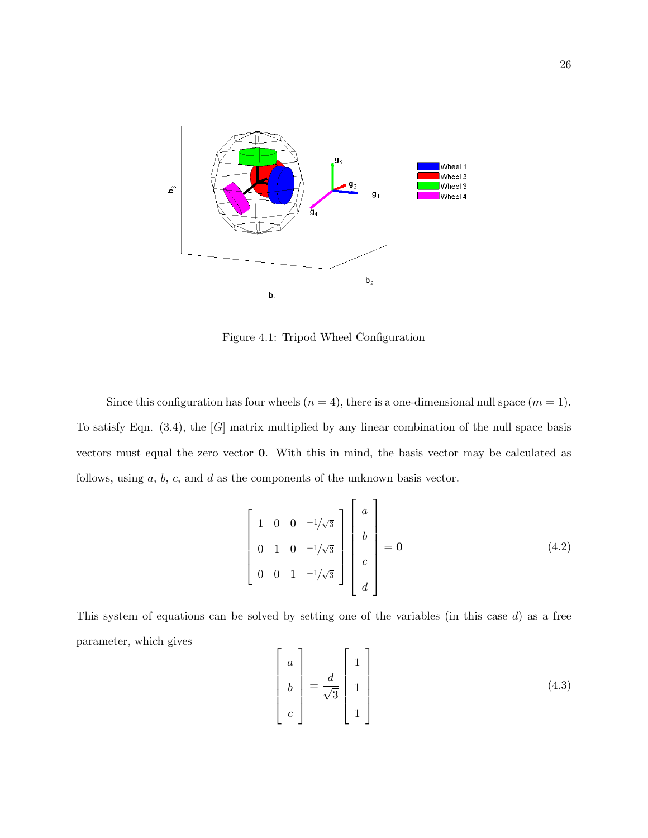

Figure 4.1: Tripod Wheel Configuration

Since this configuration has four wheels  $(n = 4)$ , there is a one-dimensional null space  $(m = 1)$ . To satisfy Eqn.  $(3.4)$ , the  $[G]$  matrix multiplied by any linear combination of the null space basis vectors must equal the zero vector 0. With this in mind, the basis vector may be calculated as follows, using  $a, b, c$ , and  $d$  as the components of the unknown basis vector.

$$
\begin{bmatrix} 1 & 0 & 0 & -1/\sqrt{3} \\ 0 & 1 & 0 & -1/\sqrt{3} \\ 0 & 0 & 1 & -1/\sqrt{3} \end{bmatrix} \begin{bmatrix} a \\ b \\ c \\ d \end{bmatrix} = \mathbf{0}
$$
 (4.2)

This system of equations can be solved by setting one of the variables (in this case  $d$ ) as a free parameter, which gives

$$
\begin{bmatrix} a \\ b \\ c \end{bmatrix} = \frac{d}{\sqrt{3}} \begin{bmatrix} 1 \\ 1 \\ 1 \end{bmatrix}
$$
 (4.3)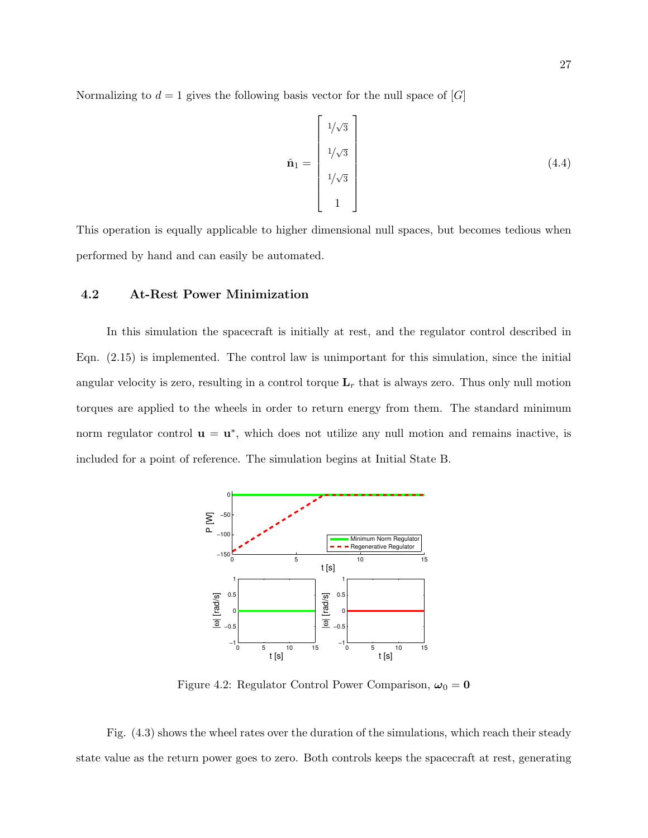Normalizing to  $d = 1$  gives the following basis vector for the null space of [G]

$$
\hat{\mathbf{n}}_1 = \begin{bmatrix} 1/\sqrt{3} \\ 1/\sqrt{3} \\ 1/\sqrt{3} \\ 1 \end{bmatrix}
$$
\n(4.4)

This operation is equally applicable to higher dimensional null spaces, but becomes tedious when performed by hand and can easily be automated.

#### 4.2 At-Rest Power Minimization

In this simulation the spacecraft is initially at rest, and the regulator control described in Eqn. (2.15) is implemented. The control law is unimportant for this simulation, since the initial angular velocity is zero, resulting in a control torque  $\mathbf{L}_r$  that is always zero. Thus only null motion torques are applied to the wheels in order to return energy from them. The standard minimum norm regulator control  $\mathbf{u} = \mathbf{u}^*$ , which does not utilize any null motion and remains inactive, is included for a point of reference. The simulation begins at Initial State B.



Figure 4.2: Regulator Control Power Comparison,  $\omega_0 = 0$ 

Fig. (4.3) shows the wheel rates over the duration of the simulations, which reach their steady state value as the return power goes to zero. Both controls keeps the spacecraft at rest, generating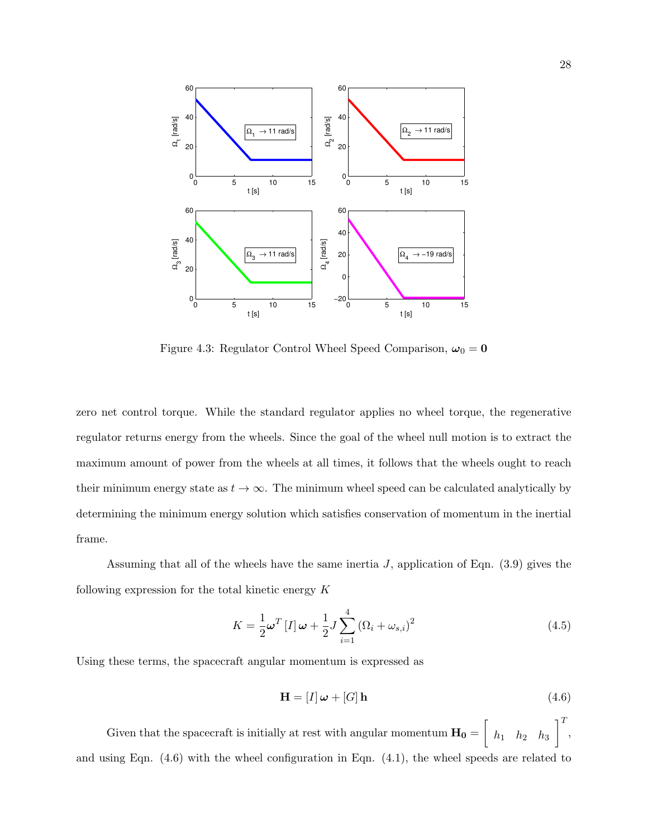

Figure 4.3: Regulator Control Wheel Speed Comparison,  $\omega_0 = 0$ 

zero net control torque. While the standard regulator applies no wheel torque, the regenerative regulator returns energy from the wheels. Since the goal of the wheel null motion is to extract the maximum amount of power from the wheels at all times, it follows that the wheels ought to reach their minimum energy state as  $t \to \infty$ . The minimum wheel speed can be calculated analytically by determining the minimum energy solution which satisfies conservation of momentum in the inertial frame.

Assuming that all of the wheels have the same inertia  $J$ , application of Eqn. (3.9) gives the following expression for the total kinetic energy  $K$ 

$$
K = \frac{1}{2}\omega^{T}\left[I\right]\omega + \frac{1}{2}J\sum_{i=1}^{4}\left(\Omega_{i} + \omega_{s,i}\right)^{2}
$$
\n(4.5)

Using these terms, the spacecraft angular momentum is expressed as

$$
\mathbf{H} = [I] \boldsymbol{\omega} + [G] \mathbf{h} \tag{4.6}
$$

Given that the spacecraft is initially at rest with angular momentum  $\mathbf{H_0} = \begin{bmatrix} \end{bmatrix}$  $h_1$   $h_2$   $h_3$  $\left.\begin{matrix} 1 \end{matrix}\right]^{T},$ and using Eqn. (4.6) with the wheel configuration in Eqn. (4.1), the wheel speeds are related to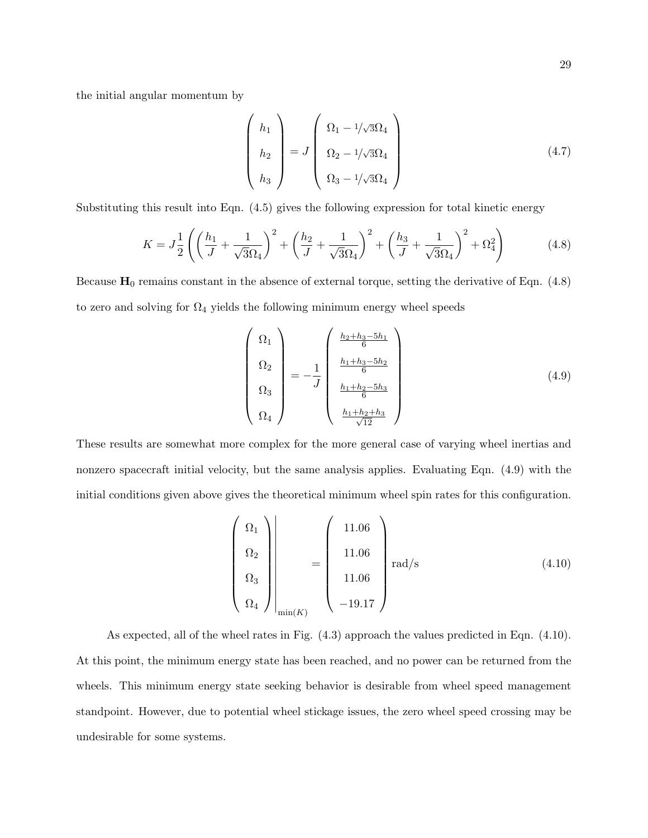the initial angular momentum by

$$
\begin{pmatrix} h_1 \\ h_2 \\ h_3 \end{pmatrix} = J \begin{pmatrix} \Omega_1 - 1/\sqrt{3}\Omega_4 \\ \Omega_2 - 1/\sqrt{3}\Omega_4 \\ \Omega_3 - 1/\sqrt{3}\Omega_4 \end{pmatrix}
$$
(4.7)

Substituting this result into Eqn. (4.5) gives the following expression for total kinetic energy

$$
K = J\frac{1}{2}\left(\left(\frac{h_1}{J} + \frac{1}{\sqrt{3}\Omega_4}\right)^2 + \left(\frac{h_2}{J} + \frac{1}{\sqrt{3}\Omega_4}\right)^2 + \left(\frac{h_3}{J} + \frac{1}{\sqrt{3}\Omega_4}\right)^2 + \Omega_4^2\right) \tag{4.8}
$$

Because  $H_0$  remains constant in the absence of external torque, setting the derivative of Eqn. (4.8) to zero and solving for  $\Omega_4$  yields the following minimum energy wheel speeds

$$
\begin{pmatrix}\n\Omega_1 \\
\Omega_2 \\
\Omega_3 \\
\Omega_4\n\end{pmatrix} = -\frac{1}{J} \begin{pmatrix}\n\frac{h_2 + h_3 - 5h_1}{6} \\
\frac{h_1 + h_3 - 5h_2}{6} \\
\frac{h_1 + h_2 - 5h_3}{6} \\
\frac{h_1 + h_2 + h_3}{\sqrt{12}}\n\end{pmatrix}
$$
\n(4.9)

These results are somewhat more complex for the more general case of varying wheel inertias and nonzero spacecraft initial velocity, but the same analysis applies. Evaluating Eqn. (4.9) with the initial conditions given above gives the theoretical minimum wheel spin rates for this configuration.

$$
\begin{pmatrix}\n\Omega_1 \\
\Omega_2 \\
\Omega_3 \\
\Omega_4\n\end{pmatrix}\n\begin{pmatrix}\n11.06 \\
11.06 \\
11.06 \\
11.06 \\
-19.17\n\end{pmatrix}\n\text{rad/s}\n\tag{4.10}
$$

As expected, all of the wheel rates in Fig. (4.3) approach the values predicted in Eqn. (4.10). At this point, the minimum energy state has been reached, and no power can be returned from the wheels. This minimum energy state seeking behavior is desirable from wheel speed management standpoint. However, due to potential wheel stickage issues, the zero wheel speed crossing may be undesirable for some systems.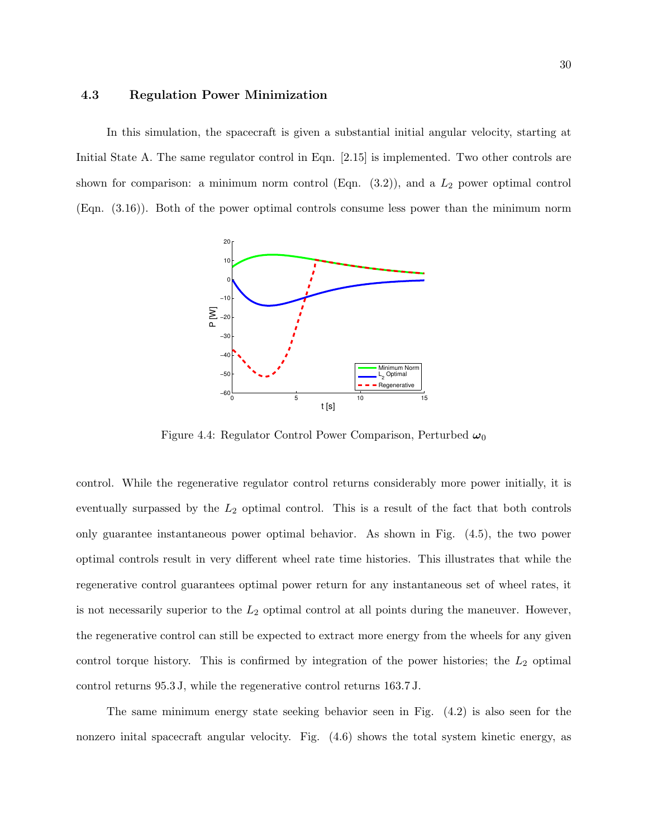## 4.3 Regulation Power Minimization

In this simulation, the spacecraft is given a substantial initial angular velocity, starting at Initial State A. The same regulator control in Eqn. [2.15] is implemented. Two other controls are shown for comparison: a minimum norm control (Eqn.  $(3.2)$ ), and a  $L_2$  power optimal control (Eqn. (3.16)). Both of the power optimal controls consume less power than the minimum norm



Figure 4.4: Regulator Control Power Comparison, Perturbed  $\omega_0$ 

control. While the regenerative regulator control returns considerably more power initially, it is eventually surpassed by the  $L_2$  optimal control. This is a result of the fact that both controls only guarantee instantaneous power optimal behavior. As shown in Fig. (4.5), the two power optimal controls result in very different wheel rate time histories. This illustrates that while the regenerative control guarantees optimal power return for any instantaneous set of wheel rates, it is not necessarily superior to the  $L_2$  optimal control at all points during the maneuver. However, the regenerative control can still be expected to extract more energy from the wheels for any given control torque history. This is confirmed by integration of the power histories; the  $L_2$  optimal control returns 95.3 J, while the regenerative control returns 163.7 J.

The same minimum energy state seeking behavior seen in Fig. (4.2) is also seen for the nonzero inital spacecraft angular velocity. Fig. (4.6) shows the total system kinetic energy, as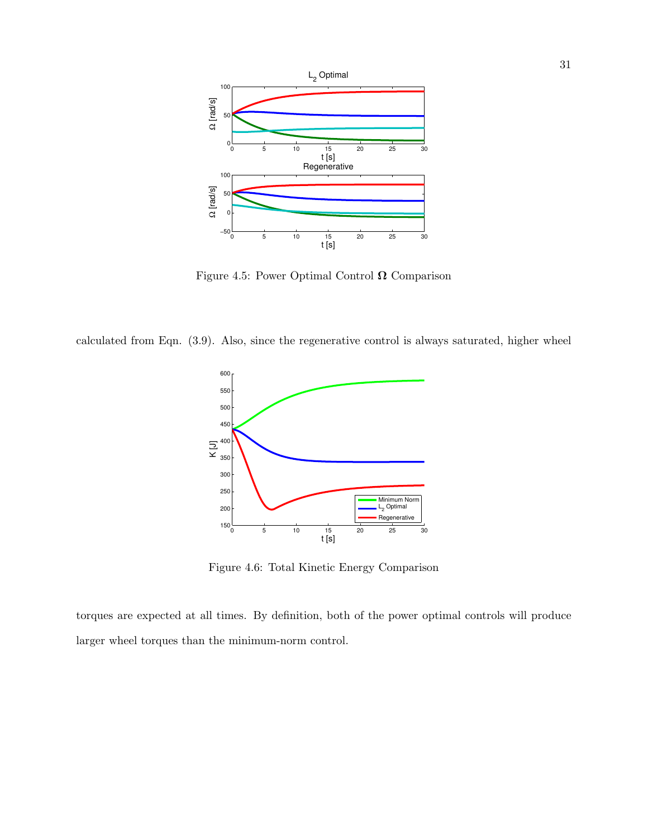

Figure 4.5: Power Optimal Control  $\Omega$  Comparison

calculated from Eqn. (3.9). Also, since the regenerative control is always saturated, higher wheel



Figure 4.6: Total Kinetic Energy Comparison

torques are expected at all times. By definition, both of the power optimal controls will produce larger wheel torques than the minimum-norm control.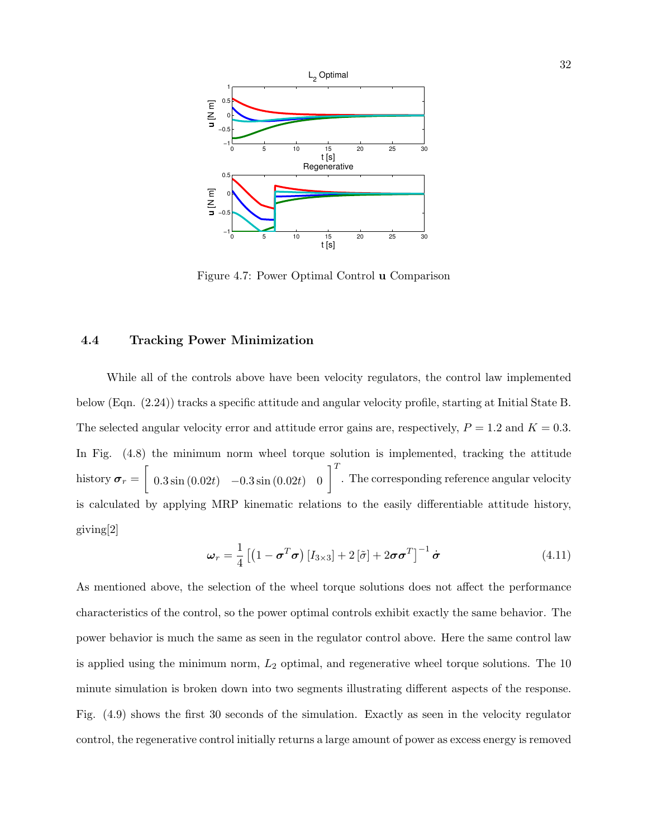

Figure 4.7: Power Optimal Control u Comparison

## 4.4 Tracking Power Minimization

While all of the controls above have been velocity regulators, the control law implemented below (Eqn. (2.24)) tracks a specific attitude and angular velocity profile, starting at Initial State B. The selected angular velocity error and attitude error gains are, respectively,  $P = 1.2$  and  $K = 0.3$ . In Fig. (4.8) the minimum norm wheel torque solution is implemented, tracking the attitude history  $\boldsymbol{\sigma}_r = \begin{bmatrix} 0.3 \sin(0.02t) & -0.3 \sin(0.02t) & 0 \end{bmatrix}^T$ . The corresponding reference angular velocity is calculated by applying MRP kinematic relations to the easily differentiable attitude history, giving[2]

$$
\boldsymbol{\omega}_r = \frac{1}{4} \left[ \left( 1 - \boldsymbol{\sigma}^T \boldsymbol{\sigma} \right) \left[ I_{3 \times 3} \right] + 2 \left[ \tilde{\sigma} \right] + 2 \boldsymbol{\sigma} \boldsymbol{\sigma}^T \right]^{-1} \dot{\boldsymbol{\sigma}} \tag{4.11}
$$

As mentioned above, the selection of the wheel torque solutions does not affect the performance characteristics of the control, so the power optimal controls exhibit exactly the same behavior. The power behavior is much the same as seen in the regulator control above. Here the same control law is applied using the minimum norm,  $L_2$  optimal, and regenerative wheel torque solutions. The 10 minute simulation is broken down into two segments illustrating different aspects of the response. Fig. (4.9) shows the first 30 seconds of the simulation. Exactly as seen in the velocity regulator control, the regenerative control initially returns a large amount of power as excess energy is removed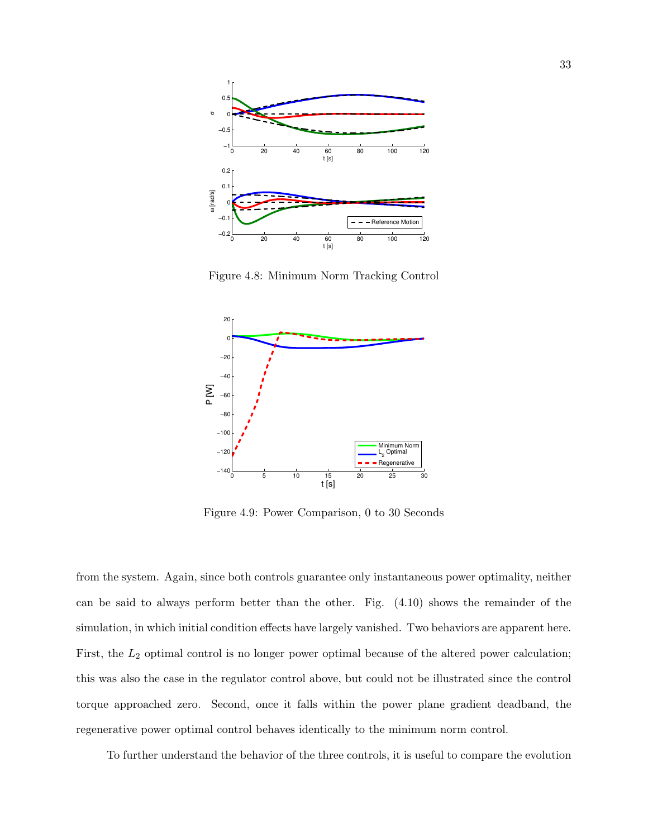

Figure 4.8: Minimum Norm Tracking Control



Figure 4.9: Power Comparison, 0 to 30 Seconds

from the system. Again, since both controls guarantee only instantaneous power optimality, neither can be said to always perform better than the other. Fig. (4.10) shows the remainder of the simulation, in which initial condition effects have largely vanished. Two behaviors are apparent here. First, the  $L_2$  optimal control is no longer power optimal because of the altered power calculation; this was also the case in the regulator control above, but could not be illustrated since the control torque approached zero. Second, once it falls within the power plane gradient deadband, the regenerative power optimal control behaves identically to the minimum norm control.

To further understand the behavior of the three controls, it is useful to compare the evolution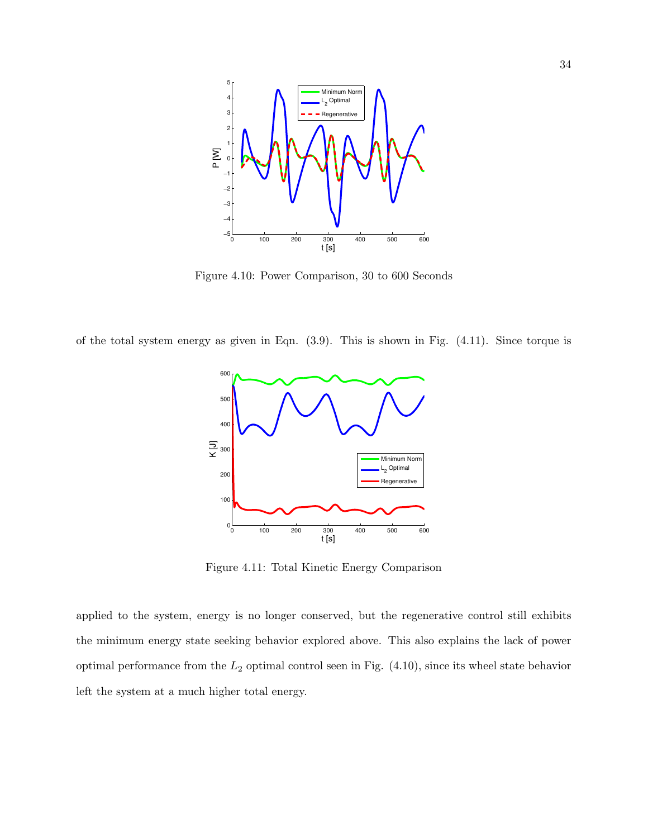

Figure 4.10: Power Comparison, 30 to 600 Seconds

of the total system energy as given in Eqn. (3.9). This is shown in Fig. (4.11). Since torque is



Figure 4.11: Total Kinetic Energy Comparison

applied to the system, energy is no longer conserved, but the regenerative control still exhibits the minimum energy state seeking behavior explored above. This also explains the lack of power optimal performance from the  $L_2$  optimal control seen in Fig.  $(4.10)$ , since its wheel state behavior left the system at a much higher total energy.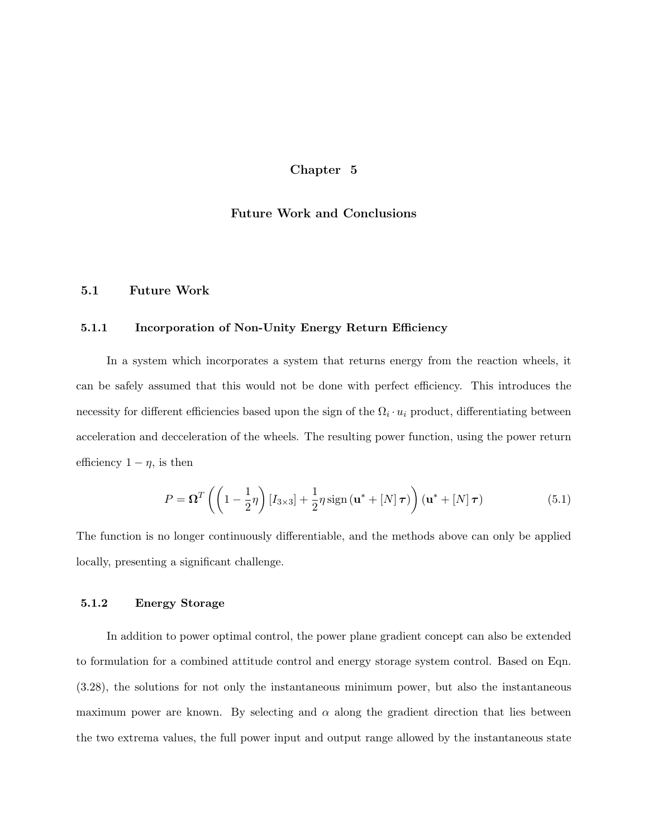### Chapter 5

## Future Work and Conclusions

## 5.1 Future Work

#### 5.1.1 Incorporation of Non-Unity Energy Return Efficiency

In a system which incorporates a system that returns energy from the reaction wheels, it can be safely assumed that this would not be done with perfect efficiency. This introduces the necessity for different efficiencies based upon the sign of the  $\Omega_i \cdot u_i$  product, differentiating between acceleration and decceleration of the wheels. The resulting power function, using the power return efficiency  $1 - \eta$ , is then

$$
P = \mathbf{\Omega}^T \left( \left( 1 - \frac{1}{2} \eta \right) [I_{3 \times 3}] + \frac{1}{2} \eta \operatorname{sign} \left( \mathbf{u}^* + [N] \tau \right) \right) \left( \mathbf{u}^* + [N] \tau \right) \tag{5.1}
$$

The function is no longer continuously differentiable, and the methods above can only be applied locally, presenting a significant challenge.

#### 5.1.2 Energy Storage

In addition to power optimal control, the power plane gradient concept can also be extended to formulation for a combined attitude control and energy storage system control. Based on Eqn. (3.28), the solutions for not only the instantaneous minimum power, but also the instantaneous maximum power are known. By selecting and  $\alpha$  along the gradient direction that lies between the two extrema values, the full power input and output range allowed by the instantaneous state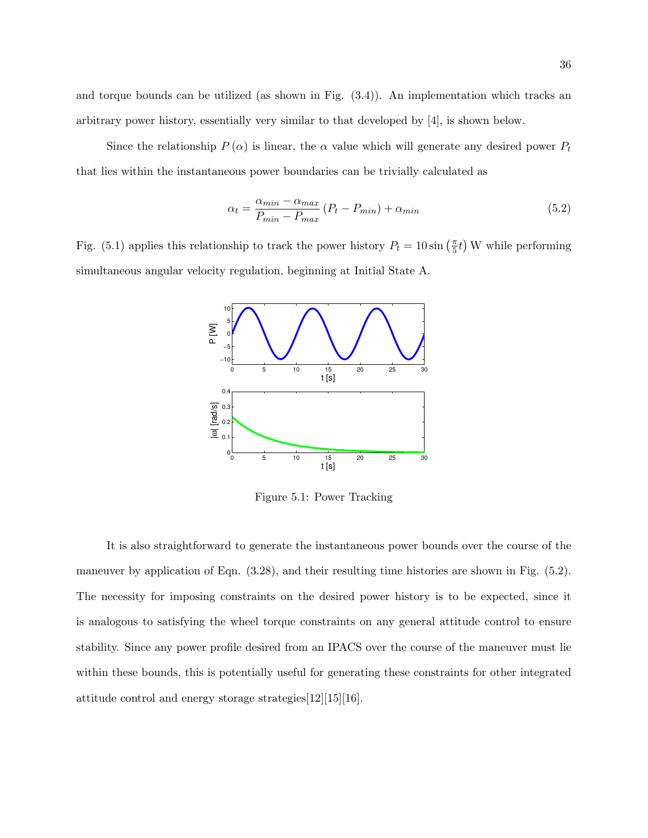and torque bounds can be utilized (as shown in Fig. (3.4)). An implementation which tracks an arbitrary power history, essentially very similar to that developed by [4], is shown below.

Since the relationship  $P(\alpha)$  is linear, the  $\alpha$  value which will generate any desired power  $P_t$ that lies within the instantaneous power boundaries can be trivially calculated as

$$
\alpha_t = \frac{\alpha_{min} - \alpha_{max}}{P_{min} - P_{max}} (P_t - P_{min}) + \alpha_{min}
$$
\n(5.2)

Fig. (5.1) applies this relationship to track the power history  $P_t = 10 \sin \left( \frac{\pi}{5} \right)$  $(\frac{\pi}{5}t)$  W while performing simultaneous angular velocity regulation, beginning at Initial State A.



Figure 5.1: Power Tracking

It is also straightforward to generate the instantaneous power bounds over the course of the maneuver by application of Eqn. (3.28), and their resulting time histories are shown in Fig. (5.2). The necessity for imposing constraints on the desired power history is to be expected, since it is analogous to satisfying the wheel torque constraints on any general attitude control to ensure stability. Since any power profile desired from an IPACS over the course of the maneuver must lie within these bounds, this is potentially useful for generating these constraints for other integrated attitude control and energy storage strategies[12][15][16].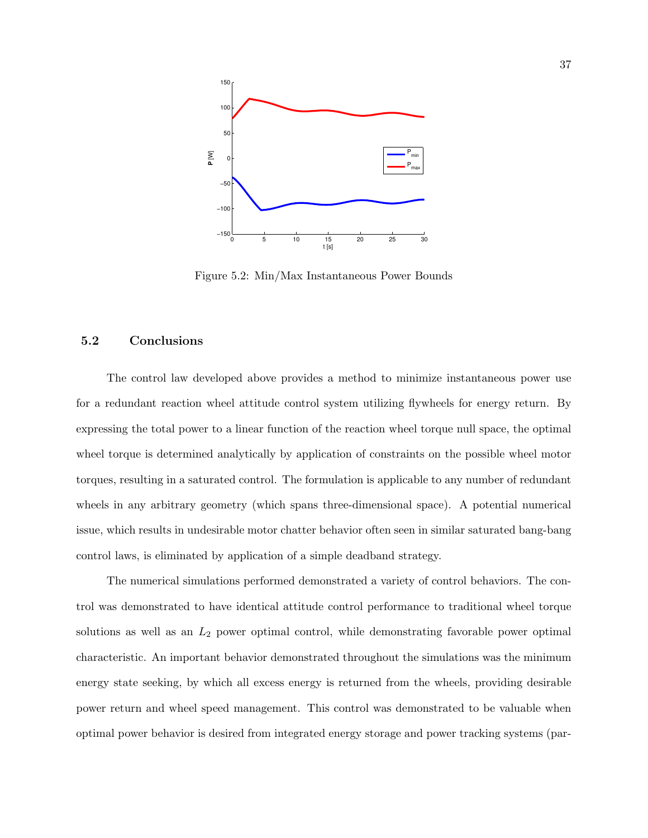

Figure 5.2: Min/Max Instantaneous Power Bounds

### 5.2 Conclusions

The control law developed above provides a method to minimize instantaneous power use for a redundant reaction wheel attitude control system utilizing flywheels for energy return. By expressing the total power to a linear function of the reaction wheel torque null space, the optimal wheel torque is determined analytically by application of constraints on the possible wheel motor torques, resulting in a saturated control. The formulation is applicable to any number of redundant wheels in any arbitrary geometry (which spans three-dimensional space). A potential numerical issue, which results in undesirable motor chatter behavior often seen in similar saturated bang-bang control laws, is eliminated by application of a simple deadband strategy.

The numerical simulations performed demonstrated a variety of control behaviors. The control was demonstrated to have identical attitude control performance to traditional wheel torque solutions as well as an  $L_2$  power optimal control, while demonstrating favorable power optimal characteristic. An important behavior demonstrated throughout the simulations was the minimum energy state seeking, by which all excess energy is returned from the wheels, providing desirable power return and wheel speed management. This control was demonstrated to be valuable when optimal power behavior is desired from integrated energy storage and power tracking systems (par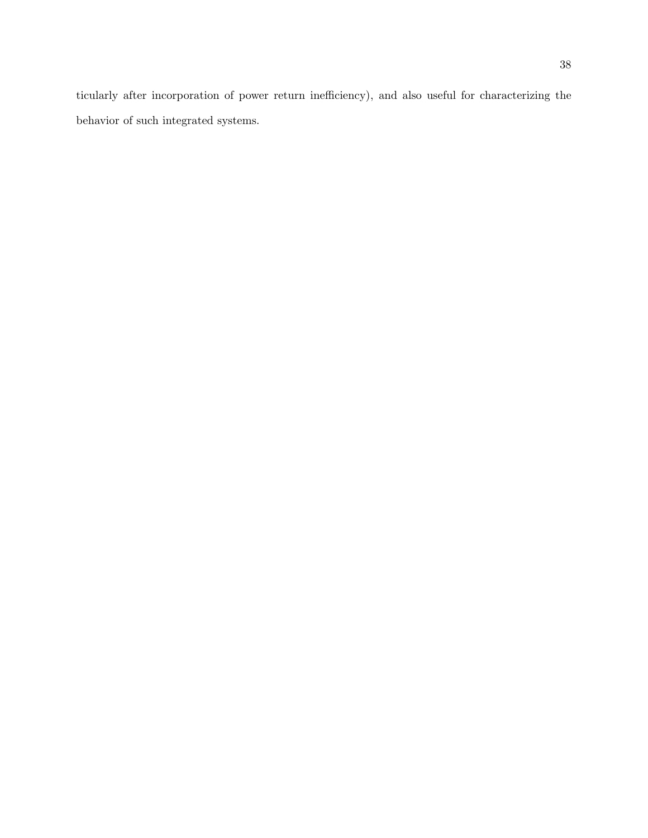ticularly after incorporation of power return inefficiency), and also useful for characterizing the behavior of such integrated systems.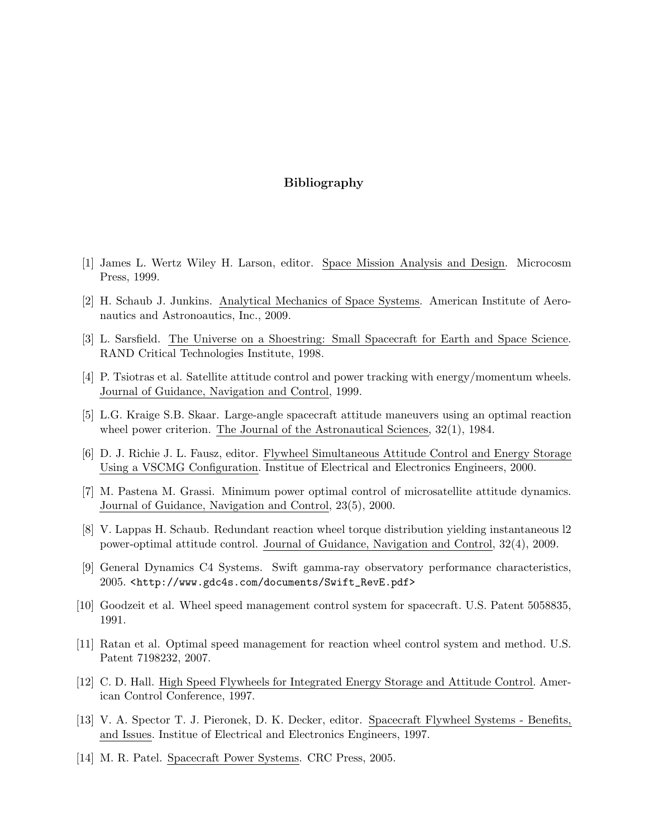## Bibliography

- [1] James L. Wertz Wiley H. Larson, editor. Space Mission Analysis and Design. Microcosm Press, 1999.
- [2] H. Schaub J. Junkins. Analytical Mechanics of Space Systems. American Institute of Aeronautics and Astronoautics, Inc., 2009.
- [3] L. Sarsfield. The Universe on a Shoestring: Small Spacecraft for Earth and Space Science. RAND Critical Technologies Institute, 1998.
- [4] P. Tsiotras et al. Satellite attitude control and power tracking with energy/momentum wheels. Journal of Guidance, Navigation and Control, 1999.
- [5] L.G. Kraige S.B. Skaar. Large-angle spacecraft attitude maneuvers using an optimal reaction wheel power criterion. The Journal of the Astronautical Sciences, 32(1), 1984.
- [6] D. J. Richie J. L. Fausz, editor. Flywheel Simultaneous Attitude Control and Energy Storage Using a VSCMG Configuration. Institue of Electrical and Electronics Engineers, 2000.
- [7] M. Pastena M. Grassi. Minimum power optimal control of microsatellite attitude dynamics. Journal of Guidance, Navigation and Control, 23(5), 2000.
- [8] V. Lappas H. Schaub. Redundant reaction wheel torque distribution yielding instantaneous l2 power-optimal attitude control. Journal of Guidance, Navigation and Control, 32(4), 2009.
- [9] General Dynamics C4 Systems. Swift gamma-ray observatory performance characteristics, 2005. <http://www.gdc4s.com/documents/Swift\_RevE.pdf>
- [10] Goodzeit et al. Wheel speed management control system for spacecraft. U.S. Patent 5058835, 1991.
- [11] Ratan et al. Optimal speed management for reaction wheel control system and method. U.S. Patent 7198232, 2007.
- [12] C. D. Hall. High Speed Flywheels for Integrated Energy Storage and Attitude Control. American Control Conference, 1997.
- [13] V. A. Spector T. J. Pieronek, D. K. Decker, editor. Spacecraft Flywheel Systems Benefits, and Issues. Institue of Electrical and Electronics Engineers, 1997.
- [14] M. R. Patel. Spacecraft Power Systems. CRC Press, 2005.